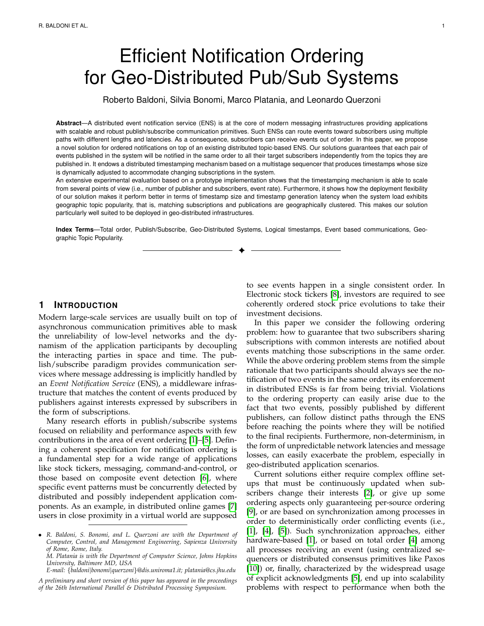# Efficient Notification Ordering for Geo-Distributed Pub/Sub Systems

Roberto Baldoni, Silvia Bonomi, Marco Platania, and Leonardo Querzoni

**Abstract**—A distributed event notification service (ENS) is at the core of modern messaging infrastructures providing applications with scalable and robust publish/subscribe communication primitives. Such ENSs can route events toward subscribers using multiple paths with different lengths and latencies. As a consequence, subscribers can receive events out of order. In this paper, we propose a novel solution for ordered notifications on top of an existing distributed topic-based ENS. Our solutions guarantees that each pair of events published in the system will be notified in the same order to all their target subscribers independently from the topics they are published in. It endows a distributed timestamping mechanism based on a multistage sequencer that produces timestamps whose size is dynamically adjusted to accommodate changing subscriptions in the system.

An extensive experimental evaluation based on a prototype implementation shows that the timestamping mechanism is able to scale from several points of view (i.e., number of publisher and subscribers, event rate). Furthermore, it shows how the deployment flexibility of our solution makes it perform better in terms of timestamp size and timestamp generation latency when the system load exhibits geographic topic popularity, that is, matching subscriptions and publications are geographically clustered. This makes our solution particularly well suited to be deployed in geo-distributed infrastructures.

**Index Terms**—Total order, Publish/Subscribe, Geo-Distributed Systems, Logical timestamps, Event based communications, Geographic Topic Popularity. ✦

## **1 INTRODUCTION**

Modern large-scale services are usually built on top of asynchronous communication primitives able to mask the unreliability of low-level networks and the dynamism of the application participants by decoupling the interacting parties in space and time. The publish/subscribe paradigm provides communication services where message addressing is implicitly handled by an *Event Notification Service* (ENS), a middleware infrastructure that matches the content of events produced by publishers against interests expressed by subscribers in the form of subscriptions.

Many research efforts in publish/subscribe systems focused on reliability and performance aspects with few contributions in the area of event ordering [\[1\]](#page-13-0)–[\[5\]](#page-13-1). Defining a coherent specification for notification ordering is a fundamental step for a wide range of applications like stock tickers, messaging, command-and-control, or those based on composite event detection [\[6\]](#page-13-2), where specific event patterns must be concurrently detected by distributed and possibly independent application components. As an example, in distributed online games [\[7\]](#page-13-3) users in close proximity in a virtual world are supposed

*M. Platania is with the Department of Computer Science, Johns Hopkins University, Baltimore MD, USA*

*E-mail:* {*baldoni*|*bonomi*|*querzoni*}*@dis.uniroma1.it; platania@cs.jhu.edu*

to see events happen in a single consistent order. In Electronic stock tickers [\[8\]](#page-13-4), investors are required to see coherently ordered stock price evolutions to take their investment decisions.

In this paper we consider the following ordering problem: how to guarantee that two subscribers sharing subscriptions with common interests are notified about events matching those subscriptions in the same order. While the above ordering problem stems from the simple rationale that two participants should always see the notification of two events in the same order, its enforcement in distributed ENSs is far from being trivial. Violations to the ordering property can easily arise due to the fact that two events, possibly published by different publishers, can follow distinct paths through the ENS before reaching the points where they will be notified to the final recipients. Furthermore, non-determinism, in the form of unpredictable network latencies and message losses, can easily exacerbate the problem, especially in geo-distributed application scenarios.

Current solutions either require complex offline setups that must be continuously updated when subscribers change their interests [\[2\]](#page-13-5), or give up some ordering aspects only guaranteeing per-source ordering [\[9\]](#page-13-6), or are based on synchronization among processes in order to deterministically order conflicting events (i.e., [\[1\]](#page-13-0), [\[4\]](#page-13-7), [\[5\]](#page-13-1)). Such synchronization approaches, either hardware-based [\[1\]](#page-13-0), or based on total order [\[4\]](#page-13-7) among all processes receiving an event (using centralized sequencers or distributed consensus primitives like Paxos [\[10\]](#page-13-8)) or, finally, characterized by the widespread usage of explicit acknowledgments [\[5\]](#page-13-1), end up into scalability problems with respect to performance when both the

<sup>•</sup> *R. Baldoni, S. Bonomi, and L. Querzoni are with the Department of Computer, Control, and Management Engineering, Sapienza University of Rome, Rome, Italy.*

*A preliminary and short version of this paper has appeared in the proceedings of the 26th International Parallel & Distributed Processing Symposium.*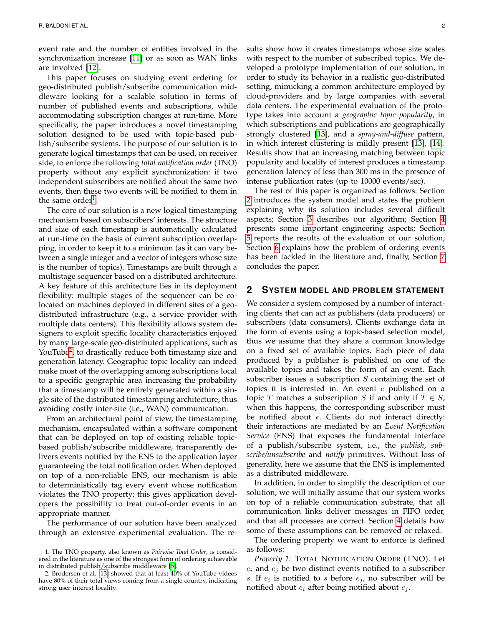event rate and the number of entities involved in the synchronization increase [\[11\]](#page-13-9) or as soon as WAN links are involved [\[12\]](#page-13-10).

This paper focuses on studying event ordering for geo-distributed publish/subscribe communication middleware looking for a scalable solution in terms of number of published events and subscriptions, while accommodating subscription changes at run-time. More specifically, the paper introduces a novel timestamping solution designed to be used with topic-based publish/subscribe systems. The purpose of our solution is to generate logical timestamps that can be used, on receiver side, to enforce the following *total notification order* (TNO) property without any explicit synchronization: if two independent subscribers are notified about the same two events, then these two events will be notified to them in the same order<sup>[1](#page-1-0)</sup>.

The core of our solution is a new logical timestamping mechanism based on subscribers' interests. The structure and size of each timestamp is automatically calculated at run-time on the basis of current subscription overlapping, in order to keep it to a minimum (as it can vary between a single integer and a vector of integers whose size is the number of topics). Timestamps are built through a multistage sequencer based on a distributed architecture. A key feature of this architecture lies in its deployment flexibility: multiple stages of the sequencer can be colocated on machines deployed in different sites of a geodistributed infrastructure (e.g., a service provider with multiple data centers). This flexibility allows system designers to exploit specific locality characteristics enjoyed by many large-scale geo-distributed applications, such as YouTube<sup>[2](#page-1-1)</sup>, to drastically reduce both timestamp size and generation latency. Geographic topic locality can indeed make most of the overlapping among subscriptions local to a specific geographic area increasing the probability that a timestamp will be entirely generated within a single site of the distributed timestamping architecture, thus avoiding costly inter-site (i.e., WAN) communication.

From an architectural point of view, the timestamping mechanism, encapsulated within a software component that can be deployed on top of existing reliable topicbased publish/subscribe middleware, transparently delivers events notified by the ENS to the application layer guaranteeing the total notification order. When deployed on top of a non-reliable ENS, our mechanism is able to deterministically tag every event whose notification violates the TNO property; this gives application developers the possibility to treat out-of-order events in an appropriate manner.

The performance of our solution have been analyzed through an extensive experimental evaluation. The results show how it creates timestamps whose size scales with respect to the number of subscribed topics. We developed a prototype implementation of our solution, in order to study its behavior in a realistic geo-distributed setting, mimicking a common architecture employed by cloud-providers and by large companies with several data centers. The experimental evaluation of the prototype takes into account a *geographic topic popularity*, in which subscriptions and publications are geographically strongly clustered [\[13\]](#page-13-11), and a *spray-and-diffuse* pattern, in which interest clustering is mildly present [\[13\]](#page-13-11), [\[14\]](#page-13-12). Results show that an increasing matching between topic popularity and locality of interest produces a timestamp generation latency of less than 300 ms in the presence of intense publication rates (up to 10000 events/sec).

The rest of this paper is organized as follows: Section [2](#page-1-2) introduces the system model and states the problem explaining why its solution includes several difficult aspects; Section [3](#page-2-0) describes our algorithm; Section [4](#page-7-0) presents some important engineering aspects; Section [5](#page-8-0) reports the results of the evaluation of our solution; Section [6](#page-11-0) explains how the problem of ordering events has been tackled in the literature and, finally, Section [7](#page-12-0) concludes the paper.

#### <span id="page-1-2"></span>**2 SYSTEM MODEL AND PROBLEM STATEMENT**

We consider a system composed by a number of interacting clients that can act as publishers (data producers) or subscribers (data consumers). Clients exchange data in the form of events using a topic-based selection model, thus we assume that they share a common knowledge on a fixed set of available topics. Each piece of data produced by a publisher is published on one of the available topics and takes the form of an event. Each subscriber issues a subscription  $S$  containing the set of topics it is interested in. An event  $e$  published on a topic T matches a subscription S if and only if  $T \in S$ ; when this happens, the corresponding subscriber must be notified about  $e$ . Clients do not interact directly: their interactions are mediated by an *Event Notification Service* (ENS) that exposes the fundamental interface of a publish/subscribe system, i.e., the *publish*, *subscribe/unsubscribe* and *notify* primitives. Without loss of generality, here we assume that the ENS is implemented as a distributed middleware.

In addition, in order to simplify the description of our solution, we will initially assume that our system works on top of a reliable communication substrate, that all communication links deliver messages in FIFO order, and that all processes are correct. Section [4](#page-7-0) details how some of these assumptions can be removed or relaxed.

The ordering property we want to enforce is defined as follows:

*Property 1:* TOTAL NOTIFICATION ORDER (TNO). Let  $e_i$  and  $e_j$  be two distinct events notified to a subscriber s. If  $e_i$  is notified to s before  $e_j$ , no subscriber will be notified about  $e_i$  after being notified about  $e_i$ .

<span id="page-1-0"></span><sup>1.</sup> The TNO property, also known as *Pairwise Total Order*, is considered in the literature as one of the strongest form of ordering achievable in distributed publish/subscribe middleware [\[5\]](#page-13-1).

<span id="page-1-1"></span><sup>2.</sup> Brodersen et al. [\[13\]](#page-13-11) showed that at least 40% of YouTube videos have 80% of their total views coming from a single country, indicating strong user interest locality.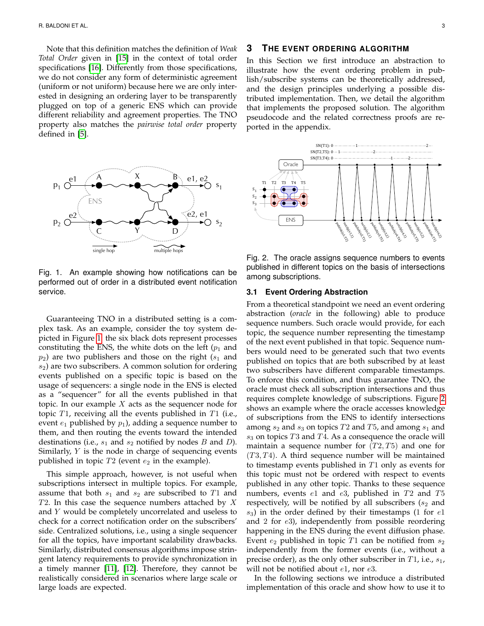Note that this definition matches the definition of *Weak Total Order* given in [\[15\]](#page-13-13) in the context of total order specifications [\[16\]](#page-13-14). Differently from those specifications, we do not consider any form of deterministic agreement (uniform or not uniform) because here we are only interested in designing an ordering layer to be transparently plugged on top of a generic ENS which can provide different reliability and agreement properties. The TNO property also matches the *pairwise total order* property defined in [\[5\]](#page-13-1).



<span id="page-2-1"></span>Fig. 1. An example showing how notifications can be performed out of order in a distributed event notification service.

Guaranteeing TNO in a distributed setting is a complex task. As an example, consider the toy system depicted in Figure [1:](#page-2-1) the six black dots represent processes constituting the ENS, the white dots on the left  $(p_1$  and  $p_2$ ) are two publishers and those on the right ( $s_1$  and  $s<sub>2</sub>$ ) are two subscribers. A common solution for ordering events published on a specific topic is based on the usage of sequencers: a single node in the ENS is elected as a "sequencer" for all the events published in that topic. In our example  $X$  acts as the sequencer node for topic  $T1$ , receiving all the events published in  $T1$  (i.e., event  $e_1$  published by  $p_1$ ), adding a sequence number to them, and then routing the events toward the intended destinations (i.e.,  $s_1$  and  $s_2$  notified by nodes  $B$  and  $D$ ). Similarly, Y is the node in charge of sequencing events published in topic  $T2$  (event  $e_2$  in the example).

This simple approach, however, is not useful when subscriptions intersect in multiple topics. For example, assume that both  $s_1$  and  $s_2$  are subscribed to T1 and  $T2$ . In this case the sequence numbers attached by X and Y would be completely uncorrelated and useless to check for a correct notification order on the subscribers' side. Centralized solutions, i.e., using a single sequencer for all the topics, have important scalability drawbacks. Similarly, distributed consensus algorithms impose stringent latency requirements to provide synchronization in a timely manner [\[11\]](#page-13-9), [\[12\]](#page-13-10). Therefore, they cannot be realistically considered in scenarios where large scale or large loads are expected.

# <span id="page-2-0"></span>**3 THE EVENT ORDERING ALGORITHM**

In this Section we first introduce an abstraction to illustrate how the event ordering problem in publish/subscribe systems can be theoretically addressed, and the design principles underlying a possible distributed implementation. Then, we detail the algorithm that implements the proposed solution. The algorithm pseudocode and the related correctness proofs are reported in the appendix.



<span id="page-2-2"></span>Fig. 2. The oracle assigns sequence numbers to events published in different topics on the basis of intersections among subscriptions.

#### **3.1 Event Ordering Abstraction**

From a theoretical standpoint we need an event ordering abstraction (*oracle* in the following) able to produce sequence numbers. Such oracle would provide, for each topic, the sequence number representing the timestamp of the next event published in that topic. Sequence numbers would need to be generated such that two events published on topics that are both subscribed by at least two subscribers have different comparable timestamps. To enforce this condition, and thus guarantee TNO, the oracle must check all subscription intersections and thus requires complete knowledge of subscriptions. Figure [2](#page-2-2) shows an example where the oracle accesses knowledge of subscriptions from the ENS to identify intersections among  $s_2$  and  $s_3$  on topics T2 and T5, and among  $s_1$  and  $s_3$  on topics T3 and T4. As a consequence the oracle will maintain a sequence number for  $(T2, T5)$  and one for  $(T3, T4)$ . A third sequence number will be maintained to timestamp events published in T1 only as events for this topic must not be ordered with respect to events published in any other topic. Thanks to these sequence numbers, events  $e1$  and  $e3$ , published in  $T2$  and  $T5$ respectively, will be notified by all subscribers ( $s_2$  and  $s_3$ ) in the order defined by their timestamps (1 for  $e1$ and 2 for  $e3$ ), independently from possible reordering happening in the ENS during the event diffusion phase. Event  $e_2$  published in topic T1 can be notified from  $s_2$ independently from the former events (i.e., without a precise order), as the only other subscriber in  $T1$ , i.e.,  $s_1$ , will not be notified about  $e1$ , nor  $e3$ .

In the following sections we introduce a distributed implementation of this oracle and show how to use it to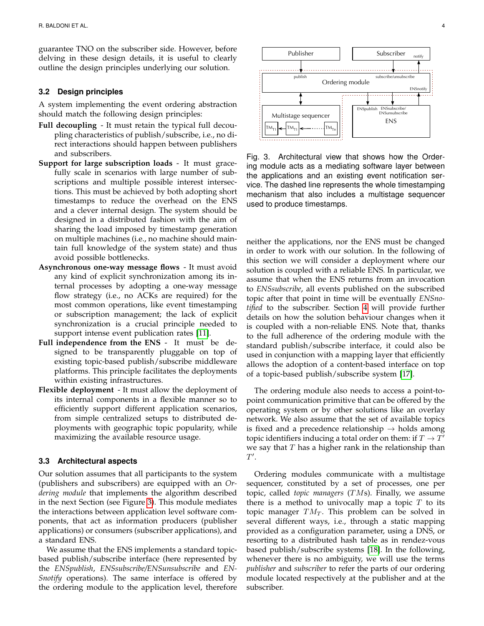guarantee TNO on the subscriber side. However, before delving in these design details, it is useful to clearly outline the design principles underlying our solution.

#### **3.2 Design principles**

A system implementing the event ordering abstraction should match the following design principles:

- **Full decoupling** It must retain the typical full decoupling characteristics of publish/subscribe, i.e., no direct interactions should happen between publishers and subscribers.
- **Support for large subscription loads** It must gracefully scale in scenarios with large number of subscriptions and multiple possible interest intersections. This must be achieved by both adopting short timestamps to reduce the overhead on the ENS and a clever internal design. The system should be designed in a distributed fashion with the aim of sharing the load imposed by timestamp generation on multiple machines (i.e., no machine should maintain full knowledge of the system state) and thus avoid possible bottlenecks.
- **Asynchronous one-way message flows** It must avoid any kind of explicit synchronization among its internal processes by adopting a one-way message flow strategy (i.e., no ACKs are required) for the most common operations, like event timestamping or subscription management; the lack of explicit synchronization is a crucial principle needed to support intense event publication rates [\[11\]](#page-13-9).
- **Full independence from the ENS** It must be designed to be transparently pluggable on top of existing topic-based publish/subscribe middleware platforms. This principle facilitates the deployments within existing infrastructures.
- **Flexible deployment** It must allow the deployment of its internal components in a flexible manner so to efficiently support different application scenarios, from simple centralized setups to distributed deployments with geographic topic popularity, while maximizing the available resource usage.

#### **3.3 Architectural aspects**

Our solution assumes that all participants to the system (publishers and subscribers) are equipped with an *Ordering module* that implements the algorithm described in the next Section (see Figure [3\)](#page-3-0). This module mediates the interactions between application level software components, that act as information producers (publisher applications) or consumers (subscriber applications), and a standard ENS.

We assume that the ENS implements a standard topicbased publish/subscribe interface (here represented by the *ENSpublish*, *ENSsubscribe/ENSunsubscribe* and *EN-Snotify* operations). The same interface is offered by the ordering module to the application level, therefore



<span id="page-3-0"></span>Fig. 3. Architectural view that shows how the Ordering module acts as a mediating software layer between the applications and an existing event notification service. The dashed line represents the whole timestamping mechanism that also includes a multistage sequencer used to produce timestamps.

neither the applications, nor the ENS must be changed in order to work with our solution. In the following of this section we will consider a deployment where our solution is coupled with a reliable ENS. In particular, we assume that when the ENS returns from an invocation to *ENSsubscribe*, all events published on the subscribed topic after that point in time will be eventually *ENSnotified* to the subscriber. Section [4](#page-7-0) will provide further details on how the solution behaviour changes when it is coupled with a non-reliable ENS. Note that, thanks to the full adherence of the ordering module with the standard publish/subscribe interface, it could also be used in conjunction with a mapping layer that efficiently allows the adoption of a content-based interface on top of a topic-based publish/subscribe system [\[17\]](#page-13-15).

The ordering module also needs to access a point-topoint communication primitive that can be offered by the operating system or by other solutions like an overlay network. We also assume that the set of available topics is fixed and a precedence relationship  $\rightarrow$  holds among topic identifiers inducing a total order on them: if  $T\rightarrow T'$ we say that  $T$  has a higher rank in the relationship than  $T'.$ 

Ordering modules communicate with a multistage sequencer, constituted by a set of processes, one per topic, called *topic managers* (TMs). Finally, we assume there is a method to univocally map a topic  $T$  to its topic manager  $TM_T$ . This problem can be solved in several different ways, i.e., through a static mapping provided as a configuration parameter, using a DNS, or resorting to a distributed hash table as in rendez-vous based publish/subscribe systems [\[18\]](#page-13-16). In the following, whenever there is no ambiguity, we will use the terms *publisher* and *subscriber* to refer the parts of our ordering module located respectively at the publisher and at the subscriber.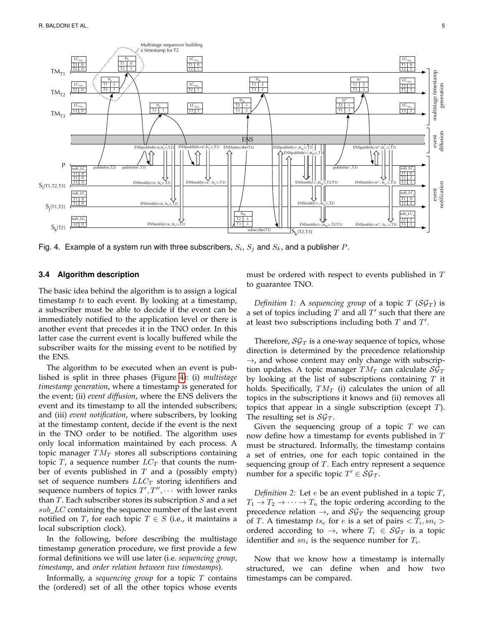

<span id="page-4-0"></span>Fig. 4. Example of a system run with three subscribers,  $S_i$ ,  $S_j$  and  $S_k$ , and a publisher  $P$ .

#### <span id="page-4-1"></span>**3.4 Algorithm description**

The basic idea behind the algorithm is to assign a logical timestamp *ts* to each event. By looking at a timestamp, a subscriber must be able to decide if the event can be immediately notified to the application level or there is another event that precedes it in the TNO order. In this latter case the current event is locally buffered while the subscriber waits for the missing event to be notified by the ENS.

The algorithm to be executed when an event is published is split in three phases (Figure [4\)](#page-4-0): (i) *multistage timestamp generation*, where a timestamp is generated for the event; (ii) *event diffusion*, where the ENS delivers the event and its timestamp to all the intended subscribers; and (iii) *event notification*, where subscribers, by looking at the timestamp content, decide if the event is the next in the TNO order to be notified. The algorithm uses only local information maintained by each process. A topic manager  $TM_T$  stores all subscriptions containing topic T, a sequence number  $LC_T$  that counts the number of events published in  $T$  and a (possibly empty) set of sequence numbers  $LLC_T$  storing identifiers and sequence numbers of topics  $T', T'', \cdots$  with lower ranks than  $T$ . Each subscriber stores its subscription  $S$  and a set  $sub\_LC$  containing the sequence number of the last event notified on T, for each topic  $T \in S$  (i.e., it maintains a local subscription clock).

In the following, before describing the multistage timestamp generation procedure, we first provide a few formal definitions we will use later (i.e. *sequencing group*, *timestamp*, and *order relation between two timestamps*).

Informally, a *sequencing group* for a topic T contains the (ordered) set of all the other topics whose events must be ordered with respect to events published in T to guarantee TNO.

*Definition 1:* A *sequencing group* of a topic  $T$  (S $\mathcal{G}_T$ ) is a set of topics including  $T$  and all  $T'$  such that there are at least two subscriptions including both  $T$  and  $T'$ .

Therefore,  $\mathcal{SG}_T$  is a one-way sequence of topics, whose direction is determined by the precedence relationship  $\rightarrow$ , and whose content may only change with subscription updates. A topic manager  $TM_T$  can calculate  $\mathcal{SG}_T$ by looking at the list of subscriptions containing  $T$  it holds. Specifically,  $TM_T$  (i) calculates the union of all topics in the subscriptions it knows and (ii) removes all topics that appear in a single subscription (except T). The resulting set is  $S\mathcal{G}_{\mathcal{T}}$ .

Given the sequencing group of a topic  $T$  we can now define how a timestamp for events published in T must be structured. Informally, the timestamp contains a set of entries, one for each topic contained in the sequencing group of  $T$ . Each entry represent a sequence number for a specific topic  $T' \in \mathcal{SG}_\mathcal{T}$ .

*Definition 2:* Let e be an event published in a topic T,  $T_1 \rightarrow T_2 \rightarrow \cdots \rightarrow T_n$  the topic ordering according to the precedence relation  $\rightarrow$ , and  $\mathcal{SG}_T$  the sequencing group of T. A timestamp  $ts_e$  for  $e$  is a set of pairs  $\langle T_i, sn_i \rangle$ ordered according to  $\rightarrow$ , where  $T_i \in \mathcal{SG}_T$  is a topic identifier and  $sn_i$  is the sequence number for  $T_i$ .

Now that we know how a timestamp is internally structured, we can define when and how two timestamps can be compared.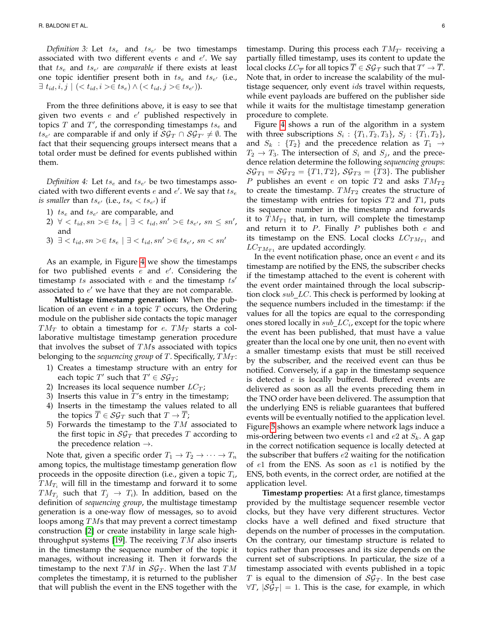Definition 3: Let  $ts_e$  and  $ts_{e'}$  be two timestamps associated with two different events  $e$  and  $e'$ . We say that  $ts_e$  and  $ts_{e'}$  are *comparable* if there exists at least one topic identifier present both in  $ts_e$  and  $ts_{e'}$  (i.e.,  $\exists t_{id}, i, j \mid (t_{id}, i \gt t s_e) \land (t_{id}, j \gt t s_{e}).$ 

From the three definitions above, it is easy to see that given two events  $e$  and  $e'$  published respectively in topics  $T$  and  $T'$ , the corresponding timestamps  $ts_e$  and  $t s_{e'}$  are comparable if and only if  $\mathcal{SG}_T \cap \mathcal{SG}_{T'} \neq \emptyset$ . The fact that their sequencing groups intersect means that a total order must be defined for events published within them.

*Definition* 4: Let  $ts_e$  and  $ts_{e'}$  be two timestamps associated with two different events  $e$  and  $e'$ . We say that  $t s_e$ *is smaller than*  $ts_{e'}$  *(i.e.,*  $ts_{e} < ts_{e'}$ *) if* 

- 1)  $ts_e$  and  $ts_{e'}$  are comparable, and
- 2)  $\forall < t_{id}, sn> \in ts_e \mid \exists < t_{id}, sn' > \in ts_{e'}, sn \le sn'$ , and

3) 
$$
\exists \langle t_{id}, sn \rangle \in ts_e \mid \exists \langle t_{id}, sn' \rangle \in ts_{e'}, sn \langle sn'
$$

As an example, in Figure [4](#page-4-0) we show the timestamps for two published events  $e$  and  $e'$ . Considering the timestamp ts associated with  $e$  and the timestamp ts' associated to  $e'$  we have that they are not comparable.

**Multistage timestamp generation:** When the publication of an event  $e$  in a topic  $T$  occurs, the Ordering module on the publisher side contacts the topic manager  $TM_T$  to obtain a timestamp for e.  $TM_T$  starts a collaborative multistage timestamp generation procedure that involves the subset of  $T\overline{M}$ s associated with topics belonging to the *sequencing group* of T. Specifically,  $TM_T$ :

- 1) Creates a timestamp structure with an entry for each topic  $T'$  such that  $T' \in \mathcal{SG}_T$ ;
- 2) Increases its local sequence number  $LC_T$ ;
- 3) Inserts this value in  $T$ 's entry in the timestamp;
- 4) Inserts in the timestamp the values related to all the topics  $\overline{T} \in \mathcal{SG}_T$  such that  $T \to \overline{T}$ ;
- 5) Forwards the timestamp to the  $TM$  associated to the first topic in  $\mathcal{SG}_T$  that precedes T according to the precedence relation  $\rightarrow$ .

Note that, given a specific order  $T_1 \rightarrow T_2 \rightarrow \cdots \rightarrow T_n$ among topics, the multistage timestamp generation flow proceeds in the opposite direction (i.e., given a topic  $T_i$ ,  $TM_{T_i}$  will fill in the timestamp and forward it to some  $TM_{T_j}$  such that  $T_j$   $\rightarrow$   $T_i$ ). In addition, based on the definition of *sequencing group*, the multistage timestamp generation is a one-way flow of messages, so to avoid loops among TMs that may prevent a correct timestamp construction [\[2\]](#page-13-5) or create instability in large scale high-throughput systems [\[19\]](#page-13-17). The receiving  $TM$  also inserts in the timestamp the sequence number of the topic it manages, without increasing it. Then it forwards the timestamp to the next TM in  $S\mathcal{G}_T$ . When the last TM completes the timestamp, it is returned to the publisher that will publish the event in the ENS together with the

timestamp. During this process each  $TM_{T}$  receiving a partially filled timestamp, uses its content to update the local clocks  $LC_{\overline{T}}$  for all topics  $\overline{T} \in \mathcal{SG}_{\mathcal{T}}$  such that  $T' \to \overline{T}.$ Note that, in order to increase the scalability of the multistage sequencer, only event *ids* travel within requests, while event payloads are buffered on the publisher side while it waits for the multistage timestamp generation procedure to complete.

Figure [4](#page-4-0) shows a run of the algorithm in a system with three subscriptions  $S_i$  :  $\{T_1, T_2, T_3\}$ ,  $S_j$  :  $\{T_1, T_2\}$ , and  $S_k$  :  $\{T_2\}$  and the precedence relation as  $T_1 \rightarrow$  $T_2 \rightarrow T_3$ . The intersection of  $S_i$  and  $S_j$ , and the precedence relation determine the following *sequencing groups*:  $\mathcal{SG}_{T1} = \mathcal{SG}_{T2} = \{T1, T2\}$ ,  $\mathcal{SG}_{T3} = \{T3\}$ . The publisher P publishes an event e on topic T2 and asks  $TM_{T2}$ to create the timestamp.  $TM_{T2}$  creates the structure of the timestamp with entries for topics  $T2$  and  $T1$ , puts its sequence number in the timestamp and forwards it to  $TM_{T1}$  that, in turn, will complete the timestamp and return it to  $P$ . Finally  $P$  publishes both  $e$  and its timestamp on the ENS. Local clocks  $LC_{TM_{T1}}$  and  $LC_{TM_{T1}}$  are updated accordingly.

In the event notification phase, once an event  $e$  and its timestamp are notified by the ENS, the subscriber checks if the timestamp attached to the event is coherent with the event order maintained through the local subscription clock  $sub\_LC$ . This check is performed by looking at the sequence numbers included in the timestamp: if the values for all the topics are equal to the corresponding ones stored locally in  $sub\_LC_i$ , except for the topic where the event has been published, that must have a value greater than the local one by one unit, then no event with a smaller timestamp exists that must be still received by the subscriber, and the received event can thus be notified. Conversely, if a gap in the timestamp sequence is detected  $e$  is locally buffered. Buffered events are delivered as soon as all the events preceding them in the TNO order have been delivered. The assumption that the underlying ENS is reliable guarantees that buffered events will be eventually notified to the application level. Figure [5](#page-6-0) shows an example where network lags induce a mis-ordering between two events  $e1$  and  $e2$  at  $S_k$ . A gap in the correct notification sequence is locally detected at the subscriber that buffers e2 waiting for the notification of  $e1$  from the ENS. As soon as  $e1$  is notified by the ENS, both events, in the correct order, are notified at the application level.

**Timestamp properties:** At a first glance, timestamps provided by the multistage sequencer resemble vector clocks, but they have very different structures. Vector clocks have a well defined and fixed structure that depends on the number of processes in the computation. On the contrary, our timestamp structure is related to topics rather than processes and its size depends on the current set of subscriptions. In particular, the size of a timestamp associated with events published in a topic T is equal to the dimension of  $S\mathcal{G}_T$ . In the best case  $\forall T, |\mathcal{SG}_T| = 1$ . This is the case, for example, in which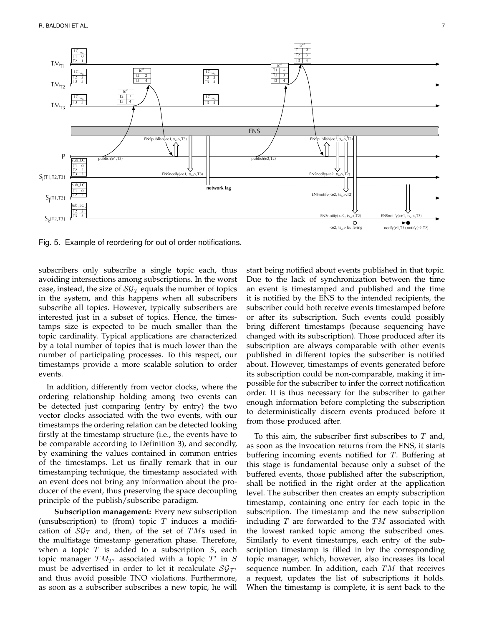

<span id="page-6-0"></span>Fig. 5. Example of reordering for out of order notifications.

subscribers only subscribe a single topic each, thus avoiding intersections among subscriptions. In the worst case, instead, the size of  $\mathcal{SG}_T$  equals the number of topics in the system, and this happens when all subscribers subscribe all topics. However, typically subscribers are interested just in a subset of topics. Hence, the timestamps size is expected to be much smaller than the topic cardinality. Typical applications are characterized by a total number of topics that is much lower than the number of participating processes. To this respect, our timestamps provide a more scalable solution to order events.

In addition, differently from vector clocks, where the ordering relationship holding among two events can be detected just comparing (entry by entry) the two vector clocks associated with the two events, with our timestamps the ordering relation can be detected looking firstly at the timestamp structure (i.e., the events have to be comparable according to Definition 3), and secondly, by examining the values contained in common entries of the timestamps. Let us finally remark that in our timestamping technique, the timestamp associated with an event does not bring any information about the producer of the event, thus preserving the space decoupling principle of the publish/subscribe paradigm.

**Subscription management:** Every new subscription (unsubscription) to (from) topic  $T$  induces a modification of  $\mathcal{SG}_T$  and, then, of the set of TMs used in the multistage timestamp generation phase. Therefore, when a topic  $T$  is added to a subscription  $S$ , each topic manager  $TM_{T'}$  associated with a topic  $T'$  in S must be advertised in order to let it recalculate  $\mathcal{SG}_{\mathcal{T}'}$ and thus avoid possible TNO violations. Furthermore, as soon as a subscriber subscribes a new topic, he will start being notified about events published in that topic. Due to the lack of synchronization between the time an event is timestamped and published and the time it is notified by the ENS to the intended recipients, the subscriber could both receive events timestamped before or after its subscription. Such events could possibly bring different timestamps (because sequencing have changed with its subscription). Those produced after its subscription are always comparable with other events published in different topics the subscriber is notified about. However, timestamps of events generated before its subscription could be non-comparable, making it impossible for the subscriber to infer the correct notification order. It is thus necessary for the subscriber to gather enough information before completing the subscription to deterministically discern events produced before it from those produced after.

To this aim, the subscriber first subscribes to  $T$  and, as soon as the invocation returns from the ENS, it starts buffering incoming events notified for T. Buffering at this stage is fundamental because only a subset of the buffered events, those published after the subscription, shall be notified in the right order at the application level. The subscriber then creates an empty subscription timestamp, containing one entry for each topic in the subscription. The timestamp and the new subscription including  $T$  are forwarded to the  $TM$  associated with the lowest ranked topic among the subscribed ones. Similarly to event timestamps, each entry of the subscription timestamp is filled in by the corresponding topic manager, which, however, also increases its local sequence number. In addition, each  $TM$  that receives a request, updates the list of subscriptions it holds. When the timestamp is complete, it is sent back to the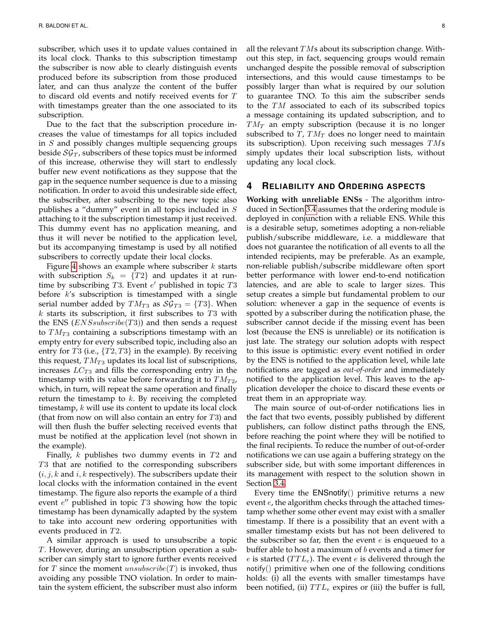subscriber, which uses it to update values contained in its local clock. Thanks to this subscription timestamp the subscriber is now able to clearly distinguish events produced before its subscription from those produced later, and can thus analyze the content of the buffer to discard old events and notify received events for T with timestamps greater than the one associated to its subscription.

Due to the fact that the subscription procedure increases the value of timestamps for all topics included in S and possibly changes multiple sequencing groups beside  $\mathcal{SG}_T$ , subscribers of these topics must be informed of this increase, otherwise they will start to endlessly buffer new event notifications as they suppose that the gap in the sequence number sequence is due to a missing notification. In order to avoid this undesirable side effect, the subscriber, after subscribing to the new topic also publishes a "dummy" event in all topics included in S attaching to it the subscription timestamp it just received. This dummy event has no application meaning, and thus it will never be notified to the application level, but its accompanying timestamp is used by all notified subscribers to correctly update their local clocks.

Figure [4](#page-4-0) shows an example where subscriber  $k$  starts with subscription  $S_k = \{T2\}$  and updates it at runtime by subscribing  $T3$ . Event  $e'$  published in topic  $T3$ before  $k$ 's subscription is timestamped with a single serial number added by  $TM_{T3}$  as  $\mathcal{SG}_{T3} = \{T3\}$ . When  $k$  starts its subscription, it first subscribes to  $T3$  with the ENS  $(ENSsubscript (TS))$  and then sends a request to  $TM_{T3}$  containing a subscriptions timestamp with an empty entry for every subscribed topic, including also an entry for  $T3$  (i.e.,  $\{T2, T3\}$  in the example). By receiving this request,  $TM_{T3}$  updates its local list of subscriptions, increases  $LC_{T3}$  and fills the corresponding entry in the timestamp with its value before forwarding it to  $TM_{T2}$ , which, in turn, will repeat the same operation and finally return the timestamp to  $k$ . By receiving the completed timestamp,  $k$  will use its content to update its local clock (that from now on will also contain an entry for  $T3$ ) and will then flush the buffer selecting received events that must be notified at the application level (not shown in the example).

Finally,  $k$  publishes two dummy events in  $T2$  and T3 that are notified to the corresponding subscribers  $(i, j, k$  and  $i, k$  respectively). The subscribers update their local clocks with the information contained in the event timestamp. The figure also reports the example of a third event  $e''$  published in topic  $T3$  showing how the topic timestamp has been dynamically adapted by the system to take into account new ordering opportunities with events produced in T2.

A similar approach is used to unsubscribe a topic T. However, during an unsubscription operation a subscriber can simply start to ignore further events received for T since the moment  $unsubscribed(T)$  is invoked, thus avoiding any possible TNO violation. In order to maintain the system efficient, the subscriber must also inform

all the relevant  $TMs$  about its subscription change. Without this step, in fact, sequencing groups would remain unchanged despite the possible removal of subscription intersections, and this would cause timestamps to be possibly larger than what is required by our solution to guarantee TNO. To this aim the subscriber sends to the TM associated to each of its subscribed topics a message containing its updated subscription, and to  $TM_T$  an empty subscription (because it is no longer subscribed to  $T$ ,  $TM_T$  does no longer need to maintain its subscription). Upon receiving such messages  $TMs$ simply updates their local subscription lists, without updating any local clock.

## <span id="page-7-0"></span>**4 RELIABILITY AND ORDERING ASPECTS**

**Working with unreliable ENSs** - The algorithm introduced in Section [3.4](#page-4-1) assumes that the ordering module is deployed in conjunction with a reliable ENS. While this is a desirable setup, sometimes adopting a non-reliable publish/subscribe middleware, i.e. a middleware that does not guarantee the notification of all events to all the intended recipients, may be preferable. As an example, non-reliable publish/subscribe middleware often sport better performance with lower end-to-end notification latencies, and are able to scale to larger sizes. This setup creates a simple but fundamental problem to our solution: whenever a gap in the sequence of events is spotted by a subscriber during the notification phase, the subscriber cannot decide if the missing event has been lost (because the ENS is unreliable) or its notification is just late. The strategy our solution adopts with respect to this issue is optimistic: every event notified in order by the ENS is notified to the application level, while late notifications are tagged as *out-of-order* and immediately notified to the application level. This leaves to the application developer the choice to discard these events or treat them in an appropriate way.

The main source of out-of-order notifications lies in the fact that two events, possibly published by different publishers, can follow distinct paths through the ENS, before reaching the point where they will be notified to the final recipients. To reduce the number of out-of-order notifications we can use again a buffering strategy on the subscriber side, but with some important differences in its management with respect to the solution shown in Section [3.4.](#page-4-1)

Every time the  $ENSnotify()$  primitive returns a new event  $e$ , the algorithm checks through the attached timestamp whether some other event may exist with a smaller timestamp. If there is a possibility that an event with a smaller timestamp exists but has not been delivered to the subscriber so far, then the event  $e$  is enqueued to a buffer able to host a maximum of b events and a timer for e is started  $(TTL_e)$ . The event e is delivered through the notify() primitive when one of the following conditions holds: (i) all the events with smaller timestamps have been notified, (ii)  $TTL_e$  expires or (iii) the buffer is full,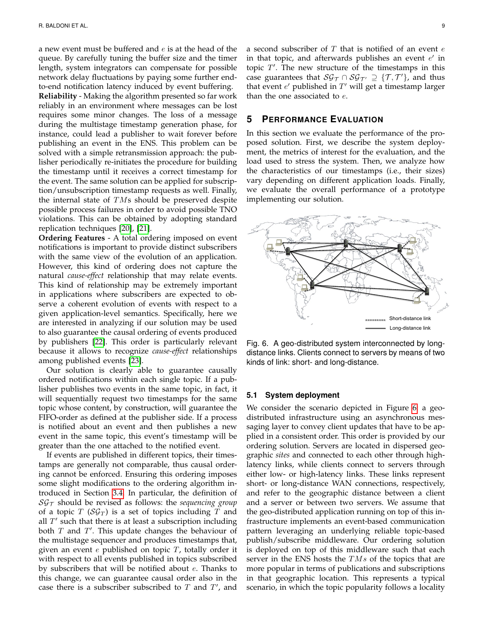a new event must be buffered and  $e$  is at the head of the queue. By carefully tuning the buffer size and the timer length, system integrators can compensate for possible network delay fluctuations by paying some further endto-end notification latency induced by event buffering.

**Reliability** - Making the algorithm presented so far work reliably in an environment where messages can be lost requires some minor changes. The loss of a message during the multistage timestamp generation phase, for instance, could lead a publisher to wait forever before publishing an event in the ENS. This problem can be solved with a simple retransmission approach: the publisher periodically re-initiates the procedure for building the timestamp until it receives a correct timestamp for the event. The same solution can be applied for subscription/unsubscription timestamp requests as well. Finally, the internal state of  $T\overline{M}s$  should be preserved despite possible process failures in order to avoid possible TNO violations. This can be obtained by adopting standard replication techniques [\[20\]](#page-13-18), [\[21\]](#page-13-19).

**Ordering Features** - A total ordering imposed on event notifications is important to provide distinct subscribers with the same view of the evolution of an application. However, this kind of ordering does not capture the natural *cause-effect* relationship that may relate events. This kind of relationship may be extremely important in applications where subscribers are expected to observe a coherent evolution of events with respect to a given application-level semantics. Specifically, here we are interested in analyzing if our solution may be used to also guarantee the causal ordering of events produced by publishers [\[22\]](#page-13-20). This order is particularly relevant because it allows to recognize *cause-effect* relationships among published events [\[23\]](#page-13-21).

Our solution is clearly able to guarantee causally ordered notifications within each single topic. If a publisher publishes two events in the same topic, in fact, it will sequentially request two timestamps for the same topic whose content, by construction, will guarantee the FIFO-order as defined at the publisher side. If a process is notified about an event and then publishes a new event in the same topic, this event's timestamp will be greater than the one attached to the notified event.

If events are published in different topics, their timestamps are generally not comparable, thus causal ordering cannot be enforced. Ensuring this ordering imposes some slight modifications to the ordering algorithm introduced in Section [3.4.](#page-4-1) In particular, the definition of  $S\mathcal{G}_\tau$  should be revised as follows: the *sequencing group* of a topic  $T$  (S $\mathcal{G}_T$ ) is a set of topics including  $T$  and all  $T'$  such that there is at least a subscription including both  $T$  and  $T'$ . This update changes the behaviour of the multistage sequencer and produces timestamps that, given an event  $e$  published on topic  $T$ , totally order it with respect to all events published in topics subscribed by subscribers that will be notified about e. Thanks to this change, we can guarantee causal order also in the case there is a subscriber subscribed to  $T$  and  $T'$ , and

a second subscriber of  $T$  that is notified of an event  $e$ in that topic, and afterwards publishes an event  $e'$  in topic  $T'$ . The new structure of the timestamps in this case guarantees that  $\mathcal{SG}_{\mathcal{T}} \cap \mathcal{SG}_{\mathcal{T}'} \supseteq \{\mathcal{T},\mathcal{T}'\}$ , and thus that event  $e'$  published in  $T'$  will get a timestamp larger than the one associated to  $e$ .

# <span id="page-8-0"></span>**5 PERFORMANCE EVALUATION**

In this section we evaluate the performance of the proposed solution. First, we describe the system deployment, the metrics of interest for the evaluation, and the load used to stress the system. Then, we analyze how the characteristics of our timestamps (i.e., their sizes) vary depending on different application loads. Finally, we evaluate the overall performance of a prototype implementing our solution.



<span id="page-8-1"></span>Fig. 6. A geo-distributed system interconnected by longdistance links. Clients connect to servers by means of two kinds of link: short- and long-distance.

# <span id="page-8-2"></span>**5.1 System deployment**

We consider the scenario depicted in Figure [6:](#page-8-1) a geodistributed infrastructure using an asynchronous messaging layer to convey client updates that have to be applied in a consistent order. This order is provided by our ordering solution. Servers are located in dispersed geographic *sites* and connected to each other through highlatency links, while clients connect to servers through either low- or high-latency links. These links represent short- or long-distance WAN connections, respectively, and refer to the geographic distance between a client and a server or between two servers. We assume that the geo-distributed application running on top of this infrastructure implements an event-based communication pattern leveraging an underlying reliable topic-based publish/subscribe middleware. Our ordering solution is deployed on top of this middleware such that each server in the ENS hosts the  $TMs$  of the topics that are more popular in terms of publications and subscriptions in that geographic location. This represents a typical scenario, in which the topic popularity follows a locality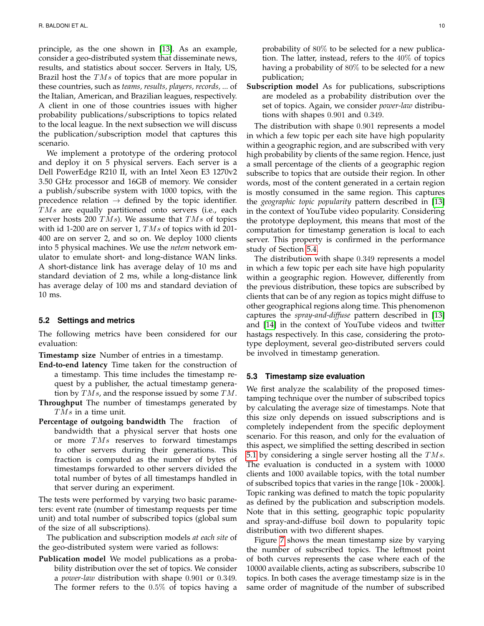principle, as the one shown in [\[13\]](#page-13-11). As an example, consider a geo-distributed system that disseminate news, results, and statistics about soccer. Servers in Italy, US, Brazil host the  $TMs$  of topics that are more popular in these countries, such as *teams, results, players, records, ...* of the Italian, American, and Brazilian leagues, respectively. A client in one of those countries issues with higher probability publications/subscriptions to topics related to the local league. In the next subsection we will discuss the publication/subscription model that captures this scenario.

We implement a prototype of the ordering protocol and deploy it on 5 physical servers. Each server is a Dell PowerEdge R210 II, with an Intel Xeon E3 1270v2 3.50 GHz processor and 16GB of memory. We consider a publish/subscribe system with 1000 topics, with the precedence relation  $\rightarrow$  defined by the topic identifier. TMs are equally partitioned onto servers (i.e., each server hosts 200  $TMs$ ). We assume that  $TMs$  of topics with id 1-200 are on server 1,  $TMs$  of topics with id 201-400 are on server 2, and so on. We deploy 1000 clients into 5 physical machines. We use the *netem* network emulator to emulate short- and long-distance WAN links. A short-distance link has average delay of 10 ms and standard deviation of 2 ms, while a long-distance link has average delay of 100 ms and standard deviation of 10 ms.

#### <span id="page-9-0"></span>**5.2 Settings and metrics**

The following metrics have been considered for our evaluation:

**Timestamp size** Number of entries in a timestamp.

- **End-to-end latency** Time taken for the construction of a timestamp. This time includes the timestamp request by a publisher, the actual timestamp generation by  $TMs$ , and the response issued by some  $TM$ .
- **Throughput** The number of timestamps generated by TMs in a time unit.
- **Percentage of outgoing bandwidth** The fraction of bandwidth that a physical server that hosts one or more  $TMs$  reserves to forward timestamps to other servers during their generations. This fraction is computed as the number of bytes of timestamps forwarded to other servers divided the total number of bytes of all timestamps handled in that server during an experiment.

The tests were performed by varying two basic parameters: event rate (number of timestamp requests per time unit) and total number of subscribed topics (global sum of the size of all subscriptions).

The publication and subscription models *at each site* of the geo-distributed system were varied as follows:

**Publication model** We model publications as a probability distribution over the set of topics. We consider a *power-law* distribution with shape 0.901 or 0.349. The former refers to the 0.5% of topics having a

probability of 80% to be selected for a new publication. The latter, instead, refers to the 40% of topics having a probability of 80% to be selected for a new publication;

**Subscription model** As for publications, subscriptions are modeled as a probability distribution over the set of topics. Again, we consider *power-law* distributions with shapes 0.901 and 0.349.

The distribution with shape 0.901 represents a model in which a few topic per each site have high popularity within a geographic region, and are subscribed with very high probability by clients of the same region. Hence, just a small percentage of the clients of a geographic region subscribe to topics that are outside their region. In other words, most of the content generated in a certain region is mostly consumed in the same region. This captures the *geographic topic popularity* pattern described in [\[13\]](#page-13-11) in the context of YouTube video popularity. Considering the prototype deployment, this means that most of the computation for timestamp generation is local to each server. This property is confirmed in the performance study of Section [5.4.](#page-10-0)

The distribution with shape 0.349 represents a model in which a few topic per each site have high popularity within a geographic region. However, differently from the previous distribution, these topics are subscribed by clients that can be of any region as topics might diffuse to other geographical regions along time. This phenomenon captures the *spray-and-diffuse* pattern described in [\[13\]](#page-13-11) and [\[14\]](#page-13-12) in the context of YouTube videos and twitter hastags respectively. In this case, considering the prototype deployment, several geo-distributed servers could be involved in timestamp generation.

#### **5.3 Timestamp size evaluation**

We first analyze the scalability of the proposed timestamping technique over the number of subscribed topics by calculating the average size of timestamps. Note that this size only depends on issued subscriptions and is completely independent from the specific deployment scenario. For this reason, and only for the evaluation of this aspect, we simplified the setting described in section [5.1](#page-8-2) by considering a single server hosting all the  $TMs$ . The evaluation is conducted in a system with 10000 clients and 1000 available topics, with the total number of subscribed topics that varies in the range [10k - 2000k]. Topic ranking was defined to match the topic popularity as defined by the publication and subscription models. Note that in this setting, geographic topic popularity and spray-and-diffuse boil down to popularity topic distribution with two different shapes.

Figure [7](#page-10-1) shows the mean timestamp size by varying the number of subscribed topics. The leftmost point of both curves represents the case where each of the 10000 available clients, acting as subscribers, subscribe 10 topics. In both cases the average timestamp size is in the same order of magnitude of the number of subscribed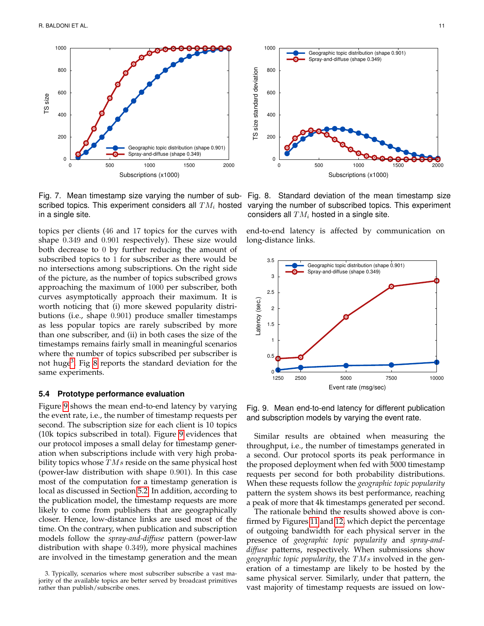

<span id="page-10-1"></span>Fig. 7. Mean timestamp size varying the number of subscribed topics. This experiment considers all  $TM_i$  hosted in a single site.

topics per clients (46 and 17 topics for the curves with shape 0.349 and 0.901 respectively). These size would both decrease to 0 by further reducing the amount of subscribed topics to 1 for subscriber as there would be no intersections among subscriptions. On the right side of the picture, as the number of topics subscribed grows approaching the maximum of 1000 per subscriber, both curves asymptotically approach their maximum. It is worth noticing that (i) more skewed popularity distributions (i.e., shape 0.901) produce smaller timestamps as less popular topics are rarely subscribed by more than one subscriber, and (ii) in both cases the size of the timestamps remains fairly small in meaningful scenarios where the number of topics subscribed per subscriber is not huge<sup>[3](#page-10-2)</sup>. Fig [8](#page-10-3) reports the standard deviation for the same experiments.

#### <span id="page-10-0"></span>**5.4 Prototype performance evaluation**

Figure [9](#page-10-4) shows the mean end-to-end latency by varying the event rate, i.e., the number of timestamp requests per second. The subscription size for each client is 10 topics (10k topics subscribed in total). Figure [9](#page-10-4) evidences that our protocol imposes a small delay for timestamp generation when subscriptions include with very high probability topics whose  $TMs$  reside on the same physical host (power-law distribution with shape 0.901). In this case most of the computation for a timestamp generation is local as discussed in Section [5.2.](#page-9-0) In addition, according to the publication model, the timestamp requests are more likely to come from publishers that are geographically closer. Hence, low-distance links are used most of the time. On the contrary, when publication and subscription models follow the *spray-and-diffuse* pattern (power-law distribution with shape 0.349), more physical machines are involved in the timestamp generation and the mean



<span id="page-10-3"></span>Fig. 8. Standard deviation of the mean timestamp size varying the number of subscribed topics. This experiment considers all  $TM_i$  hosted in a single site.

end-to-end latency is affected by communication on long-distance links.



<span id="page-10-4"></span>Fig. 9. Mean end-to-end latency for different publication and subscription models by varying the event rate.

Similar results are obtained when measuring the throughput, i.e., the number of timestamps generated in a second. Our protocol sports its peak performance in the proposed deployment when fed with 5000 timestamp requests per second for both probability distributions. When these requests follow the *geographic topic popularity* pattern the system shows its best performance, reaching a peak of more that 4k timestamps generated per second.

The rationale behind the results showed above is confirmed by Figures [11](#page-11-1) and [12,](#page-11-2) which depict the percentage of outgoing bandwidth for each physical server in the presence of *geographic topic popularity* and *spray-anddiffuse* patterns, respectively. When submissions show *geographic topic popularity*, the TMs involved in the generation of a timestamp are likely to be hosted by the same physical server. Similarly, under that pattern, the vast majority of timestamp requests are issued on low-

<span id="page-10-2"></span><sup>3.</sup> Typically, scenarios where most subscriber subscribe a vast majority of the available topics are better served by broadcast primitives rather than publish/subscribe ones.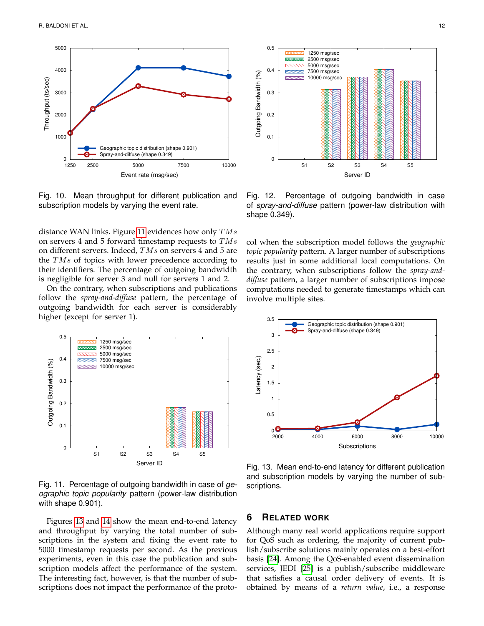

Fig. 10. Mean throughput for different publication and subscription models by varying the event rate.

distance WAN links. Figure [11](#page-11-1) evidences how only  $TMs$ on servers 4 and 5 forward timestamp requests to  $TMs$ on different servers. Indeed, TMs on servers 4 and 5 are the  $TMs$  of topics with lower precedence according to their identifiers. The percentage of outgoing bandwidth is negligible for server 3 and null for servers 1 and 2.

On the contrary, when subscriptions and publications follow the *spray-and-diffuse* pattern, the percentage of outgoing bandwidth for each server is considerably higher (except for server 1).



<span id="page-11-1"></span>Fig. 11. Percentage of outgoing bandwidth in case of *geographic topic popularity* pattern (power-law distribution with shape 0.901).

Figures [13](#page-11-3) and [14](#page-12-1) show the mean end-to-end latency and throughput by varying the total number of subscriptions in the system and fixing the event rate to 5000 timestamp requests per second. As the previous experiments, even in this case the publication and subscription models affect the performance of the system. The interesting fact, however, is that the number of sub-



<span id="page-11-2"></span>Fig. 12. Percentage of outgoing bandwidth in case of *spray-and-diffuse* pattern (power-law distribution with shape 0.349).

col when the subscription model follows the *geographic topic popularity* pattern. A larger number of subscriptions results just in some additional local computations. On the contrary, when subscriptions follow the *spray-anddiffuse* pattern, a larger number of subscriptions impose computations needed to generate timestamps which can involve multiple sites.



<span id="page-11-3"></span>Fig. 13. Mean end-to-end latency for different publication and subscription models by varying the number of subscriptions.

# <span id="page-11-0"></span>**6 RELATED WORK**

Although many real world applications require support for QoS such as ordering, the majority of current publish/subscribe solutions mainly operates on a best-effort basis [\[24\]](#page-13-22). Among the QoS-enabled event dissemination services, JEDI [\[25\]](#page-13-23) is a publish/subscribe middleware that satisfies a causal order delivery of events. It is obtained by means of a *return value*, i.e., a response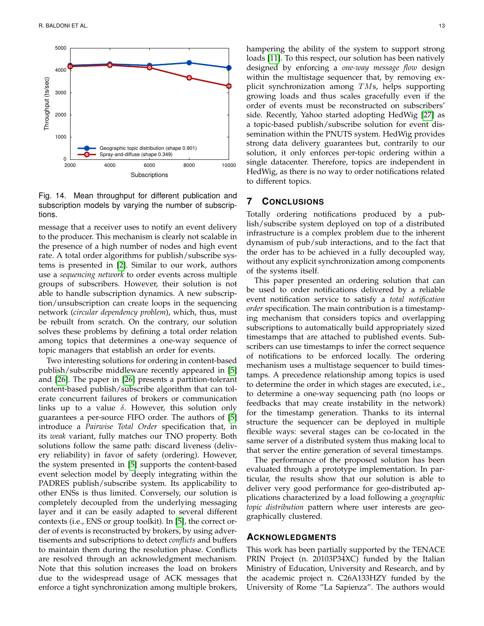

<span id="page-12-1"></span>Fig. 14. Mean throughput for different publication and subscription models by varying the number of subscriptions.

message that a receiver uses to notify an event delivery to the producer. This mechanism is clearly not scalable in the presence of a high number of nodes and high event rate. A total order algorithms for publish/subscribe systems is presented in [\[2\]](#page-13-5). Similar to our work, authors use a *sequencing network* to order events across multiple groups of subscribers. However, their solution is not able to handle subscription dynamics. A new subscription/unsubscription can create loops in the sequencing network (*circular dependency problem*), which, thus, must be rebuilt from scratch. On the contrary, our solution solves these problems by defining a total order relation among topics that determines a one-way sequence of topic managers that establish an order for events.

Two interesting solutions for ordering in content-based publish/subscribe middleware recently appeared in [\[5\]](#page-13-1) and [\[26\]](#page-13-24). The paper in [\[26\]](#page-13-24) presents a partition-tolerant content-based publish/subscribe algorithm that can tolerate concurrent failures of brokers or communication links up to a value  $\delta$ . However, this solution only guarantees a per-source FIFO order. The authors of [\[5\]](#page-13-1) introduce a *Pairwise Total Order* specification that, in its *weak* variant, fully matches our TNO property. Both solutions follow the same path: discard liveness (delivery reliability) in favor of safety (ordering). However, the system presented in [\[5\]](#page-13-1) supports the content-based event selection model by deeply integrating within the PADRES publish/subscribe system. Its applicability to other ENSs is thus limited. Conversely, our solution is completely decoupled from the underlying messaging layer and it can be easily adapted to several different contexts (i.e., ENS or group toolkit). In [\[5\]](#page-13-1), the correct order of events is reconstructed by brokers, by using advertisements and subscriptions to detect *conflicts* and buffers to maintain them during the resolution phase. Conflicts are resolved through an acknowledgment mechanism. Note that this solution increases the load on brokers due to the widespread usage of ACK messages that enforce a tight synchronization among multiple brokers,

hampering the ability of the system to support strong loads [\[11\]](#page-13-9). To this respect, our solution has been natively designed by enforcing a *one-way message flow* design within the multistage sequencer that, by removing explicit synchronization among  $TMs$ , helps supporting growing loads and thus scales gracefully even if the order of events must be reconstructed on subscribers' side. Recently, Yahoo started adopting HedWig [\[27\]](#page-13-25) as a topic-based publish/subscribe solution for event dissemination within the PNUTS system. HedWig provides strong data delivery guarantees but, contrarily to our solution, it only enforces per-topic ordering within a single datacenter. Therefore, topics are independent in HedWig, as there is no way to order notifications related to different topics.

### <span id="page-12-0"></span>**7 CONCLUSIONS**

Totally ordering notifications produced by a publish/subscribe system deployed on top of a distributed infrastructure is a complex problem due to the inherent dynamism of pub/sub interactions, and to the fact that the order has to be achieved in a fully decoupled way, without any explicit synchronization among components of the systems itself.

This paper presented an ordering solution that can be used to order notifications delivered by a reliable event notification service to satisfy a *total notification order* specification. The main contribution is a timestamping mechanism that considers topics and overlapping subscriptions to automatically build appropriately sized timestamps that are attached to published events. Subscribers can use timestamps to infer the correct sequence of notifications to be enforced locally. The ordering mechanism uses a multistage sequencer to build timestamps. A precedence relationship among topics is used to determine the order in which stages are executed, i.e., to determine a one-way sequencing path (no loops or feedbacks that may create instability in the network) for the timestamp generation. Thanks to its internal structure the sequencer can be deployed in multiple flexible ways: several stages can be co-located in the same server of a distributed system thus making local to that server the entire generation of several timestamps.

The performance of the proposed solution has been evaluated through a prototype implementation. In particular, the results show that our solution is able to deliver very good performance for geo-distributed applications characterized by a load following a *geographic topic distribution* pattern where user interests are geographically clustered.

## **ACKNOWLEDGMENTS**

This work has been partially supported by the TENACE PRIN Project (n. 20103P34XC) funded by the Italian Ministry of Education, University and Research, and by the academic project n. C26A133HZY funded by the University of Rome "La Sapienza". The authors would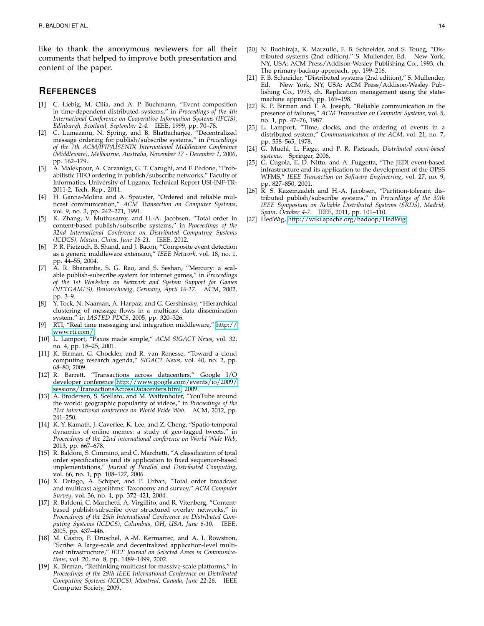like to thank the anonymous reviewers for all their comments that helped to improve both presentation and content of the paper.

#### **REFERENCES**

- <span id="page-13-0"></span>[1] C. Liebig, M. Cilia, and A. P. Buchmann, "Event composition in time-dependent distributed systems," in *Proceedings of the 4th International Conference on Cooperative Information Systems (IFCIS), Edinburgh, Scotland, September 2-4*. IEEE, 1999, pp. 70–78.
- <span id="page-13-5"></span>[2] C. Lumezanu, N. Spring, and B. Bhattacharjee, "Decentralized message ordering for publish/subscribe systems," in *Proceedings of the 7th ACM/IFIP/USENIX International Middleware Conference (Middleware), Melbourne, Australia, November 27 - December 1*, 2006, pp. 162–179.
- [3] A. Malekpour, A. Carzaniga, G. T. Carughi, and F. Pedone, "Probabilistic FIFO ordering in publish/subscribe networks," Faculty of Informatics, University of Lugano, Technical Report USI-INF-TR-2011-2, Tech. Rep., 2011.
- <span id="page-13-7"></span>[4] H. Garcia-Molina and A. Spauster, "Ordered and reliable multicast communication," *ACM Transaction on Computer Systems*, vol. 9, no. 3, pp. 242–271, 1991.
- <span id="page-13-1"></span>[5] K. Zhang, V. Muthusamy, and H.-A. Jacobsen, "Total order in content-based publish/subscribe systems," in *Proceedings of the 32nd International Conference on Distributed Computing Systems (ICDCS), Macau, China, June 18-21*. IEEE, 2012.
- <span id="page-13-2"></span>[6] P. R. Pietzuch, B. Shand, and J. Bacon, "Composite event detection as a generic middleware extension," *IEEE Network*, vol. 18, no. 1, pp. 44–55, 2004.
- <span id="page-13-3"></span>[7] A. R. Bharambe, S. G. Rao, and S. Seshan, "Mercury: a scalable publish-subscribe system for internet games," in *Proceedings of the 1st Workshop on Network and System Support for Games (NETGAMES), Braunschweig, Germany, April 16-17*. ACM, 2002, pp. 3–9.
- <span id="page-13-4"></span>[8] Y. Tock, N. Naaman, A. Harpaz, and G. Gershinsky, "Hierarchical clustering of message flows in a multicast data dissemination system." in *IASTED PDCS*, 2005, pp. 320–326.
- <span id="page-13-6"></span>[9] RTI, "Real time messaging and integration middleware," [http://](http://www.rti.com/) [www.rti.com/.](http://www.rti.com/)
- <span id="page-13-8"></span>[10] L. Lamport, "Paxos made simple," *ACM SIGACT News*, vol. 32, no. 4, pp. 18–25, 2001.
- <span id="page-13-9"></span>[11] K. Birman, G. Chockler, and R. van Renesse, "Toward a cloud computing research agenda," *SIGACT News*, vol. 40, no. 2, pp. 68–80, 2009.
- <span id="page-13-10"></span>[12] R. Barrett, "Transactions across datacenters," Google I/O developer conference [http://www.google.com/events/io/2009/](http://www.google.com/events/io/2009/sessions/TransactionsAcrossDatacenters.html) [sessions/TransactionsAcrossDatacenters.html,](http://www.google.com/events/io/2009/sessions/TransactionsAcrossDatacenters.html) 2009.
- <span id="page-13-11"></span>[13] A. Brodersen, S. Scellato, and M. Wattenhofer, "YouTube around the world: geographic popularity of videos," in *Proceedings of the 21st international conference on World Wide Web*. ACM, 2012, pp. 241–250.
- <span id="page-13-12"></span>[14] K. Y. Kamath, J. Caverlee, K. Lee, and Z. Cheng, "Spatio-temporal dynamics of online memes: a study of geo-tagged tweets," in *Proceedings of the 22nd international conference on World Wide Web*, 2013, pp. 667–678.
- <span id="page-13-13"></span>[15] R. Baldoni, S. Cimmino, and C. Marchetti, "A classification of total order specifications and its application to fixed sequencer-based implementations," *Journal of Parallel and Distributed Computing*, vol. 66, no. 1, pp. 108–127, 2006.
- <span id="page-13-14"></span>[16] X. Defago, A. Schiper, and P. Urban, "Total order broadcast and multicast algorithms: Taxonomy and survey," *ACM Computer Survey*, vol. 36, no. 4, pp. 372–421, 2004.
- <span id="page-13-15"></span>[17] R. Baldoni, C. Marchetti, A. Virgillito, and R. Vitenberg, "Contentbased publish-subscribe over structured overlay networks," in *Proceedings of the 25th International Conference on Distributed Computing Systems (ICDCS), Columbus, OH, USA, June 6-10*. IEEE, 2005, pp. 437–446.
- <span id="page-13-16"></span>[18] M. Castro, P. Druschel, A.-M. Kermarrec, and A. I. Rowstron, "Scribe: A large-scale and decentralized application-level multicast infrastructure," *IEEE Journal on Selected Areas in Communications*, vol. 20, no. 8, pp. 1489–1499, 2002.
- <span id="page-13-17"></span>[19] K. Birman, "Rethinking multicast for massive-scale platforms," in *Proceedings of the 29th IEEE International Conference on Distributed Computing Systems (ICDCS), Montreal, Canada, June 22-26*. IEEE Computer Society, 2009.
- <span id="page-13-18"></span>[20] N. Budhiraja, K. Marzullo, F. B. Schneider, and S. Toueg, "Distributed systems (2nd edition)," S. Mullender, Ed. New York, NY, USA: ACM Press/Addison-Wesley Publishing Co., 1993, ch. The primary-backup approach, pp. 199–216.
- <span id="page-13-19"></span>[21] F. B. Schneider, "Distributed systems (2nd edition)," S. Mullender, Ed. New York, NY, USA: ACM Press/Addison-Wesley Publishing Co., 1993, ch. Replication management using the statemachine approach, pp. 169–198.
- <span id="page-13-20"></span>[22] K. P. Birman and T. A. Joseph, "Reliable communication in the presence of failures," *ACM Transaction on Computer Systems*, vol. 5, no. 1, pp. 47–76, 1987.
- <span id="page-13-21"></span>[23] L. Lamport, "Time, clocks, and the ordering of events in a distributed system," *Commununication of the ACM*, vol. 21, no. 7, pp. 558–565, 1978.
- <span id="page-13-22"></span>[24] G. Muehl, L. Fiege, and P. R. Pietzuch, *Distributed event-based systems*. Springer, 2006.
- <span id="page-13-23"></span>[25] G. Cugola, E. D. Nitto, and A. Fuggetta, "The JEDI event-based infrastructure and its application to the development of the OPSS WFMS," *IEEE Transaction on Software Engineering*, vol. 27, no. 9, pp. 827–850, 2001.
- <span id="page-13-24"></span>[26] R. S. Kazemzadeh and H.-A. Jacobsen, "Partition-tolerant distributed publish/subscribe systems," in *Proceedings of the 30th IEEE Symposium on Reliable Distributed Systems (SRDS), Madrid, Spain, October 4-7*. IEEE, 2011, pp. 101–110.
- <span id="page-13-25"></span>[27] HedWig, [http://wiki.apache.org/hadoop/HedWig.](http://wiki.apache.org/hadoop/HedWig)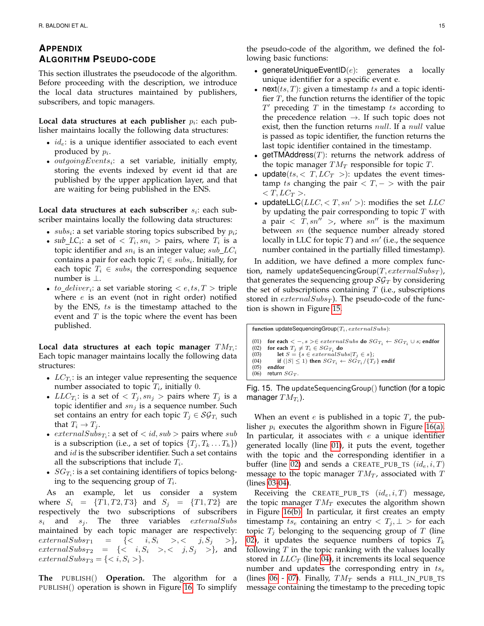# **APPENDIX ALGORITHM PSEUDO-CODE**

This section illustrates the pseudocode of the algorithm. Before proceeding with the description, we introduce the local data structures maintained by publishers, subscribers, and topic managers.

**Local data structures at each publisher**  $p_i$ : each publisher maintains locally the following data structures:

- $id_e$ : is a unique identifier associated to each event produced by  $p_i$ .
- $\bullet$  outgoing Events<sub>i</sub>: a set variable, initially empty, storing the events indexed by event id that are published by the upper application layer, and that are waiting for being published in the ENS.

**Local data structures at each subscriber**  $s_i$ : each subscriber maintains locally the following data structures:

- $subs_i$ : a set variable storing topics subscribed by  $p_i$ ;
- $sub\_LC_i$ : a set of  $$>$  pairs, where  $T_i$  is a$ topic identifier and  $sn_i$  is an integer value;  $sub\_LC_i$ contains a pair for each topic  $T_i \in subs_i$ . Initially, for each topic  $T_i \in \textit{subs}_i$  the corresponding sequence number is ⊥.
- to\_deliver<sub>i</sub>: a set variable storing  $\langle e, ts, T \rangle$  triple where  $e$  is an event (not in right order) notified by the ENS, ts is the timestamp attached to the event and  $T$  is the topic where the event has been published.

Local data structures at each topic manager  $TM_{T_i}$ : Each topic manager maintains locally the following data structures:

- $LC_{T_i}$ : is an integer value representing the sequence number associated to topic  $T_i$ , initially 0.
- $LLC_{T_i}$ : is a set of  $> pairs where  $T_j$  is a$ topic identifier and  $sn<sub>j</sub>$  is a sequence number. Such set contains an entry for each topic  $T_j \in \mathcal{SG}_{T_i}$  such that  $T_i \rightarrow T_j$ .
- $externalSubs_{T_i}:$  a set of  $$ is a subscription (i.e., a set of topics  $\{T_i, T_k \dots T_h\}$ ) and id is the subscriber identifier. Such a set contains all the subscriptions that include  $T_i$ .
- $SG_{T_i}$ : is a set containing identifiers of topics belonging to the sequencing group of  $T_i$ .

As an example, let us consider a system where  $S_i = \{T1, T2, T3\}$  and  $S_j = \{T1, T2\}$  are respectively the two subscriptions of subscribers  $s_i$  and  $s_j$ . The three variables *externalSubs* maintained by each topic manager are respectively:  $\text{externalSubs}_{T1} = \{ \langle i, S_i \rangle, \langle j, S_j \rangle \}$  $\text{externalSubs}_{T2} = \{ \langle i, S_i \rangle, \langle j, S_j \rangle \}$ , and  $externalSubs_{T3} = \{ \langle i, S_i \rangle \}.$ 

**The** PUBLISH() **Operation.** The algorithm for a PUBLISH() operation is shown in Figure [16.](#page-15-0) To simplify

- generateUniqueEventID $(e)$ : generates a locally unique identifier for a specific event e.
- next( $ts, T$ ): given a timestamp  $ts$  and a topic identifier  $T$ , the function returns the identifier of the topic  $T'$  preceding  $T$  in the timestamp  $ts$  according to the precedence relation  $\rightarrow$ . If such topic does not exist, then the function returns *null*. If a *null* value is passed as topic identifier, the function returns the last topic identifier contained in the timestamp.
- $getTMAddress(T):$  returns the network address of the topic manager  $TM_T$  responsible for topic  $T$ .
- update( $ts$ ,  $\lt T$ ,  $LC_T$   $>$ ): updates the event timestamp ts changing the pair  $\langle T, - \rangle$  with the pair  $\langle T, LC_T \rangle$ .
- updateLLC( $LLC, < T, sn' >$ ): modifies the set  $LLC$ by updating the pair corresponding to topic  $T$  with a pair  $\langle T, sn'' \rangle$ , where  $sn''$  is the maximum between sn (the sequence number already stored locally in LLC for topic  $T$ ) and  $sn'$  (i.e., the sequence number contained in the partially filled timestamp).

In addition, we have defined a more complex function, namely updateSequencingGroup(T,  $externalSubs_T$ ), that generates the sequencing group  $\mathcal{SG}_T$  by considering the set of subscriptions containing  $T$  (i.e., subscriptions stored in  $externalSubs_T$ ). The pseudo-code of the function is shown in Figure [15.](#page-14-0)

<span id="page-14-3"></span><span id="page-14-2"></span><span id="page-14-1"></span>function updateSequencingGroup(Ti, externalSubs): (01) **for each**  $\langle -, s \rangle \in extremalSubs$  **do**  $SG_{T_i} \leftarrow SG_{T_i} \cup s$ ; **endfor** (02) **for each**  $T_i \neq T_i \in SG_{T_i}$  **do** (02) **for each**  $T_j \neq T_i \in S G_{T_i}$  **do**<br>
(03) **let**  $S = \{s \in externalSubs | T_j \in s\};$ (04) **if**  $(|S| \le 1)$  **then**  $SG_{T_i} \leftarrow SG_{T_i}/\{T_j\}$  **endif** (05) **endfor** (06) return  $SG_T$ .

<span id="page-14-6"></span><span id="page-14-5"></span><span id="page-14-4"></span><span id="page-14-0"></span>Fig. 15. The updateSequencingGroup() function (for a topic manager  $TM_{T_i}$ ).

When an event  $e$  is published in a topic  $T$ , the publisher  $p_i$  executes the algorithm shown in Figure [16\(a\).](#page-15-1) In particular, it associates with  $e$  a unique identifier generated locally (line [01\)](#page-14-1), it puts the event, together with the topic and the corresponding identifier in a buffer (line [02\)](#page-14-2) and sends a CREATE\_PUB\_TS  $(id_e, i, T)$ message to the topic manager  $TM_T$ , associated with  $T$ (lines [03-](#page-14-3)[04\)](#page-14-4).

Receiving the CREATE\_PUB\_TS  $(id_e, i, T)$  message, the topic manager  $TM_T$  executes the algorithm shown in Figure [16\(b\).](#page-15-2) In particular, it first creates an empty timestamp  $ts_e$  containing an entry  $\langle T_j, \perp \rangle$  for each topic  $T_i$  belonging to the sequencing group of T (line [02\)](#page-14-2), it updates the sequence numbers of topics  $T_k$ following  $T$  in the topic ranking with the values locally stored in  $LLC_T$  (line [04\)](#page-14-4), it increments its local sequence number and updates the corresponding entry in  $ts_e$ (lines [06](#page-14-5) - [07\)](#page-15-3). Finally,  $TM_T$  sends a FILL\_IN\_PUB\_TS message containing the timestamp to the preceding topic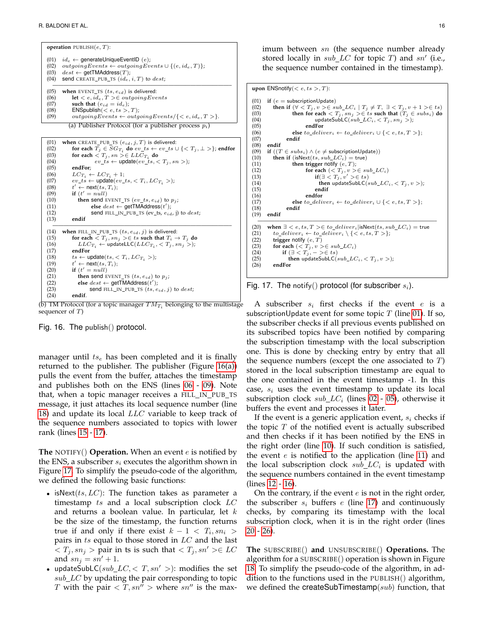**operation**  $PUBLISH(e, T)$ : (01)  $id_e \leftarrow$  generateUniqueEventID  $(e)$ ; (02) outgoingEvents ← outgoingEvents ∪ { $(e, id_e, T)$ };<br>(03) dest ← **oetTMAddress**(T):  $dest \leftarrow \text{getTMAddress}(T);$ (04) send CREATE\_PUB\_TS  $(id_e, i, T)$  to  $dest;$  $\overline{(05)}$  when EVENT\_TS  $(ts, e_{id})$  is delivered: (06) **let**  $\langle e, id_e, T \rangle \in outgoingEvents$ <br>(07) **such that**  $(e_{id} = id_e)$ ; (07) **such that**  $(e_{id} = id_e);$ <br>(08) **ENSpublish**( $\lt e, ts >$ , (08) ENSpublish( $\lt e, ts > T$ );<br>(09) outgoing Events  $\gets outq$  $outgoingEvents \leftarrow outgoingEvents / \{ < e, id_e, T > \}.$ (a) Publisher Protocol (for a publisher process  $p_i$ )

```
(01) when CREATE_PUB_TS (e_{id}, j, T) is delivered:
(02) for each T_j \in SG_{T_i} do ev\_ts \leftarrow ev\_ts \cup \{ \langle T_j, \bot \rangle \}; endfor
(03) for each \langle T_j, sn \rangle \in LLC_{T_i} do
(04) ev\_ts \leftarrow \text{update}(ev\_ts, < T_j, sn >);<br>(05) endFor:
(05) endFor;<br>(06) LC_{T_i} \leftarrow(06) LC_{T_i} \leftarrow LC_{T_i} + 1;<br>(07) ev \;ts \leftarrow \text{update}(ev \; i)ev\_ts \leftarrow \text{update}(ev\_ts, \langle T_i, LC_{T_i} \rangle);(08)<br>(09)t' \leftarrow \text{next}(ts, T_i);(09) if (t' = null)(10) then send EVENT_TS (ev\_ts, e_{id}) to p_j;<br>(11) else dest \leftarrow \text{getTMAddress}(t');
(11) else dest \leftarrow getTMAddress(t');
(12) send FILL_IN_PUB_TS (ev_ts, e_{id}, j) to dest;<br>(13) endif
             (13) endif
\overline{(14)} when FILL_IN_PUB_TS (ts, e_{id}, j) is delivered:
(15) for each \langle T_j, sn_j \rangle \in ts such that T_i \to T_j do<br>(16) LLC_{T_i} \leftarrow \text{updateLLC}(LLC_{T_i}, \langle T_j, sn_j \rangle);
(16) LLC_{T_i} \leftarrow \text{updateLLC}(LLC_{T_i}, <T_j, sn_j>);(17) endFor
(18) ts \leftarrow \text{update}(ts, \langle T_i, LC_{T_i} \rangle);(19)t' \leftarrow \text{next}(ts, T_i);(20) if (t' = null)(21) then send EVENT_TS (ts, e_{id}) to p_j;<br>(22) else dest \leftarrow \text{qetTMAddress}(t');
(22) else dest \leftarrow get \textsf{TMAddress}(t');
(23) send FILL IN PUB TS (ts, e_{id}, j) to dest;(24) endif.
```
<span id="page-15-14"></span><span id="page-15-12"></span><span id="page-15-11"></span><span id="page-15-6"></span><span id="page-15-5"></span><span id="page-15-4"></span><span id="page-15-2"></span>(b) TM Protocol (for a topic manager  $TM_{T_i}$  belonging to the multistage sequencer of T)

<span id="page-15-0"></span>Fig. 16. The publish() protocol.

manager until  $ts_e$  has been completed and it is finally returned to the publisher. The publisher (Figure [16\(a\)\)](#page-15-1) pulls the event from the buffer, attaches the timestamp and publishes both on the ENS (lines [06](#page-14-5) - [09\)](#page-15-1). Note that, when a topic manager receives a FILL\_IN\_PUB\_TS message, it just attaches its local sequence number (line [18\)](#page-15-4) and update its local  $LLC$  variable to keep track of the sequence numbers associated to topics with lower rank (lines [15](#page-15-5) - [17\)](#page-15-6).

**The** NOTIFY() **Operation.** When an event e is notified by the ENS, a subscriber  $s_i$  executes the algorithm shown in Figure [17.](#page-15-7) To simplify the pseudo-code of the algorithm, we defined the following basic functions:

- isNext( $ts, LC$ ): The function takes as parameter a timestamp  $ts$  and a local subscription clock  $LC$ and returns a boolean value. In particular, let  $k$ be the size of the timestamp, the function returns true if and only if there exist  $k-1 \, <\, T_i , sn_i \, > \,$ pairs in  $ts$  equal to those stored in  $LC$  and the last  $\langle T_j, sn_j \rangle$  pair in ts is such that  $\langle T_j, sn' \rangle \in LC$ and  $sn_j = sn' + 1$ .
- updateSubLC( $sub\_LC, < T, sn' >$ ): modifies the set  $sub\_LC$  by updating the pair corresponding to topic T with the pair  $\langle T, sn^{n} \rangle$  where sn<sup>n</sup> is the max-

imum between sn (the sequence number already stored locally in  $sub\_LC$  for topic T) and  $sn'$  (i.e., the sequence number contained in the timestamp).

**upon** ENSnotify( $\lt e, ts > T$ ):

```
(01) if (e = \text{subscriptionUpdate})<br>(02) then if (\forall < T, y > \in \text{sa})(02) then if (\forall \leq T_j, v \geq \in \text{sub\_LC}_i \mid T_j \neq T, \exists \leq T_j, v + 1 \geq \in ts)<br>(03) then for each \leq T_i, sn_i \geq \in ts such that (T_i \in \text{subs}) do
(03) then for each \langle T_j, sn_j \rangle \in ts such that (T_j \in subs_i) do updateSubLC(subL C_i, \langle T_j, sn_j \rangle);
(05) endFor
(06) else to_deliver<sub>i</sub> ← to_deliver<sub>i</sub> ∪ { < e, ts, T > };<br>(07) endif
                      (07) endif
(08) endif
(09) if ((T \in subs_i) \land (e \neq \text{subscripthold})<br>(10) then if (isNext(ts, sub_LC<sub>i</sub>) = true)
(10) then if (isNext(ts, sub\_LC_i) = true)<br>(11) then trigger notify (e, T);
(11) then trigger notify (e, T);<br>
(12) for each (< T_j, v > ∈ sub_LC_i)<br>
(13) if(∃ < T_j, v' > ∈ ts)(14) then updateSubLC(sub\_LC_i, < T_j, v >);<br>(15) endif
(15) endif
(16) endfor<br>(17) else to else to else
(17) else to\_deliver_i \leftarrow to\_deliver_i \cup \{<e, ts, T>\};<br>(18) endif
(18) endif
         (19) endif
\overline{\text{(20)} \quad \text{when $\exists < e, ts, T>∈ to\_deliver_i| \text{isNext}(ts, sub\_LC_i)=\text{true}$}}(21) to_deliver<sub>i</sub> ← to_deliver<sub>i</sub> \ { < e, ts, T > };<br>(22) trigger notify (e, T)(22) trigger notify (e, T)<br>(23) for each (< T_i, v>(23) for each (<i>T<sub>j</sub></i>, <i>v</i> > ∈ <i>sub</i><sub>-</sub><i>LC<sub>i</sub></i>)<br>
(24) if (∃ < <i>T<sub>j</sub></i>, - > ∈ <i>ts</i>)(25) then updateSubLC(sub\_LC_i, < T_j, v >);<br>(26) endFor
              (26) endFor
```
<span id="page-15-13"></span><span id="page-15-7"></span>

A subscriber  $s_i$  first checks if the event e is a subscriptionUpdate event for some topic  $T$  (line [01\)](#page-14-1). If so, the subscriber checks if all previous events published on its subscribed topics have been notified by comparing the subscription timestamp with the local subscription one. This is done by checking entry by entry that all the sequence numbers (except the one associated to  $T$ ) stored in the local subscription timestamp are equal to the one contained in the event timestamp -1. In this case,  $s_i$  uses the event timestamp to update its local subscription clock  $sub\_LC_i$  (lines [02](#page-14-2) - [05\)](#page-14-6), otherwise it buffers the event and processes it later.

If the event is a generic application event,  $s_i$  checks if the topic  $T$  of the notified event is actually subscribed and then checks if it has been notified by the ENS in the right order (line [10\)](#page-15-8). If such condition is satisfied, the event  $e$  is notified to the application (line [11\)](#page-15-9) and the local subscription clock  $sub\_LC_i$  is updated with the sequence numbers contained in the event timestamp (lines [12](#page-15-10) - [16\)](#page-15-11).

On the contrary, if the event  $e$  is not in the right order, the subscriber  $s_i$  buffers e (line [17\)](#page-15-6) and continuously checks, by comparing its timestamp with the local subscription clock, when it is in the right order (lines [20](#page-15-12) - [26\)](#page-15-13).

**The** SUBSCRIBE() **and** UNSUBSCRIBE() **Operations.** The algorithm for a SUBSCRIBE() operation is shown in Figure [18.](#page-16-0) To simplify the pseudo-code of the algorithm, in addition to the functions used in the PUBLISH() algorithm, we defined the createSubTimestamp( $sub$ ) function, that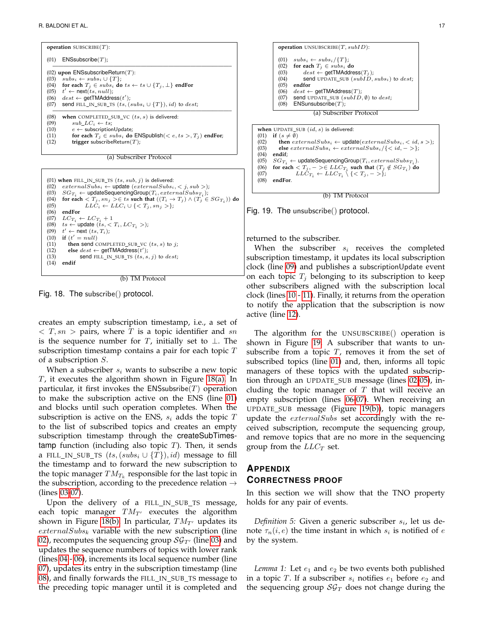**operation** SUBSCRIBE(T): (01)  $ENSsubscript (T);$ ————————————————————————————————– (02) **upon** ENSsubscribeReturn(T): (03)  $subs_i \leftarrow subs_i \cup \{T\}$ (04) **for each**  $T_j \in subs_i$  **do**  $ts \leftarrow ts \cup \{T_j, \perp\}$  **endFor** (05)  $t' \leftarrow \text{next}(ts, null);$  $(06)$  dest  $\leftarrow$  getTMAddress $(t')$ ; (07) send FILL\_IN\_SUB\_TS  $(ts, (subs_i \cup \{T\}), id)$  to  $dest;$ ————————————————————————————————– (08) **when** COMPLETED\_SUB\_VC  $(ts, s)$  is delivered:<br>(09)  $sub\_LC_i \leftarrow ts$ ; (09)  $sub\_LC_i \leftarrow ts;$ <br>(10)  $e \leftarrow \text{subscinition}$ (10)  $e \leftarrow \text{subscript} \cup \text{Update};$ <br>(11) for each  $T_i \in \text{subs}_i$  do (11) **for each**  $T_j \in subs_i$  **do** ENSpublish( $\langle e, ts \rangle, T_j$ ) **endFor**;<br>(12) **trigger** subscribeReturn(*T*); (12) **trigger** subscribeReturn(T);





(b) TM Protocol

<span id="page-16-0"></span>Fig. 18. The subscribe() protocol.

creates an empty subscription timestamp, i.e., a set of  $\langle T, sn \rangle$  pairs, where T is a topic identifier and sn is the sequence number for T, initially set to  $\bot$ . The subscription timestamp contains a pair for each topic  $T$ of a subscription S.

When a subscriber  $s_i$  wants to subscribe a new topic  $T$ , it executes the algorithm shown in Figure [18\(a\).](#page-15-10) In particular, it first invokes the ENSsubsribe $(T)$  operation to make the subscription active on the ENS (line [01\)](#page-14-1) and blocks until such operation completes. When the subscription is active on the ENS,  $s_i$  adds the topic  $T$ to the list of subscribed topics and creates an empty subscription timestamp through the createSubTimestamp function (including also topic  $T$ ). Then, it sends a FILL\_IN\_SUB\_TS  $(ts, (subs_i \cup \{T\}), id)$  message to fill the timestamp and to forward the new subscription to the topic manager  $TM_{T_k}$  responsible for the last topic in the subscription, according to the precedence relation  $\rightarrow$ (lines [03-](#page-14-3)[07\)](#page-15-3).

Upon the delivery of a FILL\_IN\_SUB\_TS message, each topic manager  $TM_{T'}$  executes the algorithm shown in Figure [18\(b\).](#page-15-14) In particular,  $TM_{T'}$  updates its  $externalSubs_k$  variable with the new subscription (line [02\)](#page-14-2), recomputes the sequencing group  $\mathcal{SG}_{T'}$  (line [03\)](#page-14-3) and updates the sequence numbers of topics with lower rank (lines [04](#page-14-4) - [06\)](#page-14-5), increments its local sequence number (line [07\)](#page-15-3), updates its entry in the subscription timestamp (line [08\)](#page-15-15), and finally forwards the FILL\_IN\_SUB\_TS message to the preceding topic manager until it is completed and



(b) TM Protocol

<span id="page-16-1"></span>Fig. 19. The unsubscribe() protocol.

returned to the subscriber.

When the subscriber  $s_i$  receives the completed subscription timestamp, it updates its local subscription clock (line [09\)](#page-15-1) and publishes a subscriptionUpdate event on each topic  $T_i$  belonging to its subscription to keep other subscribers aligned with the subscription local clock (lines [10](#page-15-8) - [11\)](#page-15-9). Finally, it returns from the operation to notify the application that the subscription is now active (line [12\)](#page-15-10).

The algorithm for the UNSUBSCRIBE() operation is shown in Figure [19.](#page-16-1) A subscriber that wants to unsubscribe from a topic  $T$ , removes it from the set of subscribed topics (line [01\)](#page-14-1) and, then, informs all topic managers of these topics with the updated subscription through an UPDATE SUB message (lines [02](#page-14-2)[-05\)](#page-14-6), including the topic manager of  $T$  that will receive an empty subscription (lines [06-](#page-14-5)[07\)](#page-15-3). When receiving an UPDATE SUB message (Figure [19\(b\)\)](#page-15-15), topic managers update the  $externalSubs$  set accordingly with the received subscription, recompute the sequencing group, and remove topics that are no more in the sequencing group from the  $LLC_T$  set.

# **APPENDIX CORRECTNESS PROOF**

In this section we will show that the TNO property holds for any pair of events.

Definition 5: Given a generic subscriber  $s_i$ , let us denote  $\tau_n(i,e)$  the time instant in which  $s_i$  is notified of  $e$ by the system.

<span id="page-16-2"></span>*Lemma 1:* Let  $e_1$  and  $e_2$  be two events both published in a topic T. If a subscriber  $s_i$  notifies  $e_1$  before  $e_2$  and the sequencing group  $\mathcal{SG}_T$  does not change during the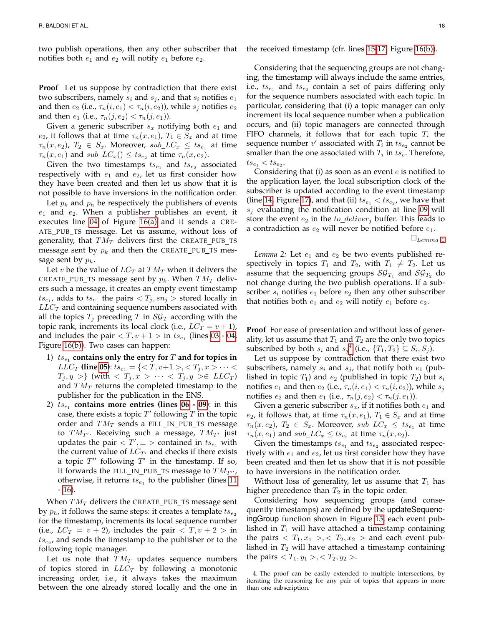two publish operations, then any other subscriber that notifies both  $e_1$  and  $e_2$  will notify  $e_1$  before  $e_2$ .

**Proof** Let us suppose by contradiction that there exist two subscribers, namely  $s_i$  and  $s_j$ , and that  $s_i$  notifies  $e_1$ and then  $e_2$  (i.e.,  $\tau_n(i, e_1) < \tau_n(i, e_2)$ ), while  $s_i$  notifies  $e_2$ and then  $e_1$  (i.e.,  $\tau_n(j, e_2) < \tau_n(j, e_1)$ ).

Given a generic subscriber  $s_x$  notifying both  $e_1$  and  $e_2$ , it follows that at time  $\tau_n(x, e_1)$ ,  $T_1 \in S_x$  and at time  $\tau_n(x,e_2)$ ,  $T_2 \in S_x$ . Moreover,  $sub\_LC_x \leq ts_{e_1}$  at time  $\tau_n(x, e_1)$  and  $sub\_LC_x() \leq ts_{e_2}$  at time  $\tau_n(x, e_2)$ .

Given the two timestamps  $ts_{e_1}$  and  $ts_{e_2}$  associated respectively with  $e_1$  and  $e_2$ , let us first consider how they have been created and then let us show that it is not possible to have inversions in the notification order.

Let  $p_k$  and  $p_h$  be respectively the publishers of events  $e_1$  and  $e_2$ . When a publisher publishes an event, it executes line [04](#page-14-4) of Figure [16\(a\)](#page-15-1) and it sends a CRE-ATE\_PUB\_TS message. Let us assume, without loss of generality, that  $TM_T$  delivers first the CREATE PUB TS message sent by  $p_k$  and then the CREATE\_PUB\_TS message sent by  $p_h$ .

Let v be the value of  $LC_T$  at  $TM_T$  when it delivers the CREATE\_PUB\_TS message sent by  $p_k$ . When  $TM_T$  delivers such a message, it creates an empty event timestamp  $t s_{e_1}$ , adds to  $t s_{e_1}$  the pairs  $< T_j, s n_j >$  stored locally in  $LLC_T$  and containing sequence numbers associated with all the topics  $T_j$  preceding T in  $\mathcal{SG}_T$  according with the topic rank, increments its local clock (i.e.,  $LC_T = v + 1$ ), and includes the pair  $\langle T, v+1 \rangle$  in  $ts_{e_1}$  (lines [03](#page-14-3) - [04,](#page-14-4) Figure [16\(b\)\)](#page-15-2). Two cases can happen:

- $1)$   $ts_{e_1}$  **contains only the entry for**  $T$  **and for topics in** *LLC<sub>T</sub>* (line [05\)](#page-14-6):  $ts_{e_1} = \{ ,  \cdots <$  $T_j, y >\}$  (with  $\langle T_j, x \rangle \cdots \langle T_j, y \rangle \in LLC_T$ ) and  $TM_T$  returns the completed timestamp to the publisher for the publication in the ENS.
- 2)  $ts_{e_1}$  **contains more entries (lines [06](#page-14-5) - [09\)](#page-15-1)**: in this case, there exists a topic  $T'$  following  $T$  in the topic order and  $TM_T$  sends a FILL\_IN\_PUB\_TS message to  $TM_{T'}$ . Receiving such a message,  $TM_{T'}$  just updates the pair  $\langle T', \perp \rangle$  contained in  $ts_{e_1}$  with the current value of  $LC_{T'}$  and checks if there exists a topic  $T''$  following  $T'$  in the timestamp. If so, it forwards the FILL\_IN\_PUB\_TS message to  $TM_{T''}$ , otherwise, it returns  $ts_{e_1}$  to the publisher (lines [11](#page-15-9) - [16\)](#page-15-11).

When  $TM_T$  delivers the CREATE\_PUB\_TS message sent by  $p_h$ , it follows the same steps: it creates a template  $ts_{e_2}$ for the timestamp, increments its local sequence number (i.e.,  $LC_T = v + 2$ ), includes the pair  $\langle T, v + 2 \rangle$  in  $ts_{e_2}$ , and sends the timestamp to the publisher or to the following topic manager.

Let us note that  $TM_T$  updates sequence numbers of topics stored in  $LLC_T$  by following a monotonic increasing order, i.e., it always takes the maximum between the one already stored locally and the one in the received timestamp (cfr. lines [15-](#page-15-5)[17,](#page-15-6) Figure [16\(b\)\)](#page-15-2).

Considering that the sequencing groups are not changing, the timestamp will always include the same entries, i.e.,  $ts_{e_1}$  and  $ts_{e_2}$  contain a set of pairs differing only for the sequence numbers associated with each topic. In particular, considering that (i) a topic manager can only increment its local sequence number when a publication occurs, and (ii) topic managers are connected through FIFO channels, it follows that for each topic  $T_i$  the sequence number  $v'$  associated with  $T_i$  in  $t s_{e_2}$  cannot be smaller than the one associated with  $T_i$  in  $ts_e$ . Therefore,  $ts_{e_1} < ts_{e_2}.$ 

Considering that (i) as soon as an event  $e$  is notified to the application layer, the local subscription clock of the subscriber is updated according to the event timestamp (line [14,](#page-15-14) Figure [17\)](#page-15-7), and that (ii)  $ts_{e_1} < ts_{e_2}$ , we have that  $s_i$  evaluating the notification condition at line [09](#page-15-1) will store the event  $e_2$  in the  $to\_deliver_j$  buffer. This leads to a contradiction as  $e_2$  will never be notified before  $e_1$ .

 $\square_{Lemma\ 1}$  $\square_{Lemma\ 1}$  $\square_{Lemma\ 1}$ 

<span id="page-17-1"></span>*Lemma 2:* Let  $e_1$  and  $e_2$  be two events published respectively in topics  $T_1$  and  $T_2$ , with  $T_1 \neq T_2$ . Let us assume that the sequencing groups  $\mathcal{SG}_{T_1}$  and  $\mathcal{SG}_{T_2}$  do not change during the two publish operations. If a subscriber  $s_i$  notifies  $e_1$  before  $e_2$  then any other subscriber that notifies both  $e_1$  and  $e_2$  will notify  $e_1$  before  $e_2$ .

**Proof** For ease of presentation and without loss of generality, let us assume that  $T_1$  and  $T_2$  are the only two topics subscribed by both  $s_i$  and  $s_j^4$  $s_j^4$  (i.e.,  $\{T_1, T_2\} \subseteq S_i, S_j$ ).

Let us suppose by contradiction that there exist two subscribers, namely  $s_i$  and  $s_j$ , that notify both  $e_1$  (published in topic  $T_1$ ) and  $e_2$  (published in topic  $T_2$ ) but  $s_i$ notifies  $e_1$  and then  $e_2$  (i.e.,  $\tau_n(i, e_1) < \tau_n(i, e_2)$ ), while  $s_i$ notifies  $e_2$  and then  $e_1$  (i.e.,  $\tau_n(j, e_2) < \tau_n(j, e_1)$ ).

Given a generic subscriber  $s_x$ , if it notifies both  $e_1$  and  $e_2$ , it follows that, at time  $\tau_n(x, e_1)$ ,  $T_1 \in S_x$  and at time  $\tau_n(x,e_2)$ ,  $T_2 \in S_x$ . Moreover,  $sub\_LC_x \leq ts_{e_1}$  at time  $\tau_n(x, e_1)$  and  $sub\_LC_x \leq ts_{e_2}$  at time  $\tau_n(x, e_2)$ .

Given the timestamps  $ts_{e_1}$  and  $ts_{e_2}$  associated respectively with  $e_1$  and  $e_2$ , let us first consider how they have been created and then let us show that it is not possible to have inversions in the notification order.

Without loss of generality, let us assume that  $T_1$  has higher precedence than  $T_2$  in the topic order.

Considering how sequencing groups (and consequently timestamps) are defined by the updateSequencingGroup function shown in Figure [15,](#page-14-0) each event published in  $T_1$  will have attached a timestamp containing the pairs  $\langle T_1, x_1 \rangle, \langle T_2, x_2 \rangle$  and each event published in  $T_2$  will have attached a timestamp containing the pairs  $,$ .

<span id="page-17-0"></span>4. The proof can be easily extended to multiple intersections, by iterating the reasoning for any pair of topics that appears in more than one subscription.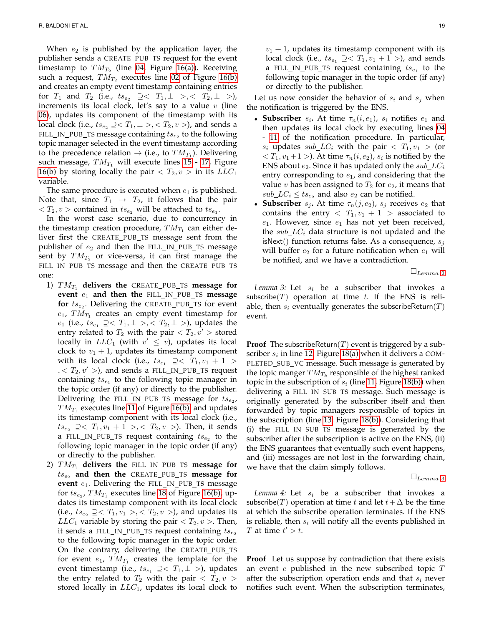When  $e_2$  is published by the application layer, the publisher sends a CREATE\_PUB\_TS request for the event timestamp to  $TM_{T_2}$  (line [04,](#page-14-4) Figure [16\(a\)\)](#page-15-1). Receiving such a request,  $TM_{T_2}$  executes line [02](#page-14-2) of Figure [16\(b\)](#page-15-2) and creates an empty event timestamp containing entries for  $T_1$  and  $T_2$  (i.e.,  $ts_{e_2} \supseteq < T_1, \perp > , < T_2, \perp > ,$ increments its local clock, let's say to a value  $v$  (line [06\)](#page-14-5), updates its component of the timestamp with its local clock (i.e.,  $ts_{e_2} \supseteq < T_1, \perp >, < T_2, v >$ ), and sends a FILL\_IN\_PUB\_TS message containing  $t s_{e_2}$  to the following topic manager selected in the event timestamp according to the precedence relation  $\rightarrow$  (i.e., to  $TM_{T_1}$ ). Delivering such message,  $TM_{T_1}$  will execute lines [15](#page-15-5) - [17,](#page-15-6) Figure [16\(b\)](#page-15-2) by storing locally the pair  $\langle T_2, v \rangle$  in its  $LLC_1$ variable.

The same procedure is executed when  $e_1$  is published. Note that, since  $T_1 \rightarrow T_2$ , it follows that the pair  $\langle T_2, v \rangle$  contained in  $ts_{e_2}$  will be attached to  $ts_{e_1}$ .

In the worst case scenario, due to concurrency in the timestamp creation procedure,  $TM_{T_1}$  can either deliver first the CREATE PUB TS message sent from the publisher of  $e_2$  and then the FILL\_IN\_PUB\_TS message sent by  $TM_{T_2}$  or vice-versa, it can first manage the FILL\_IN\_PUB\_TS message and then the CREATE\_PUB\_TS one:

- 1)  $TM_{T_1}$  delivers the CREATE\_PUB\_TS message for **event**  $e_1$  and then the FILL\_IN\_PUB\_TS message  ${\bf for}$   $ts_{e_2}$ . Delivering the <code>CREATE\_PUB\_TS</code> for event  $e_1$ ,  $TM_{T_1}$  creates an empty event timestamp for  $e_1$  (i.e.,  $ts_{e_1}$  ⊇ $<$   $T_1$ , ⊥ >,  $<$   $T_2$ , ⊥ >), updates the entry related to  $T_2$  with the pair  $\langle T_2, v' \rangle$  stored locally in  $LLC_1$  (with  $v' \leq v$ ), updates its local clock to  $v_1 + 1$ , updates its timestamp component with its local clock (i.e.,  $ts_{e_1} \geq < T_1, v_1 + 1 >$  $\lambda$ ,  $\langle T_2, v' \rangle$ , and sends a FILL\_IN\_PUB\_TS request containing  $ts_{e_1}$  to the following topic manager in the topic order (if any) or directly to the publisher. Delivering the FILL\_IN\_PUB\_TS message for  $ts_{e_2}$ ,  $TM_{T_1}$  executes line [11](#page-15-9) of Figure [16\(b\),](#page-15-2) and updates its timestamp component with its local clock (i.e.,  $ts_{e_2} \geq \langle T_1, v_1 + 1 \rangle, \langle T_2, v \rangle$ . Then, it sends a FILL\_IN\_PUB\_TS request containing  $ts_{e_2}$  to the following topic manager in the topic order (if any) or directly to the publisher.
- 2)  $TM_{T_1}$  delivers the FILL\_IN\_PUB\_TS message for ts<sup>e</sup><sup>2</sup> **and then the** CREATE PUB TS **message for event**  $e_1$ . Delivering the FILL\_IN\_PUB\_TS message for  $ts_{e_2}$ ,  $TM_{T_1}$  executes line [18](#page-15-4) of Figure [16\(b\),](#page-15-2) updates its timestamp component with its local clock (i.e.,  $ts_{e_2} \supseteq \langle T_1, v_1 \rangle, \langle T_2, v \rangle$ ), and updates its  $LLC_1$  variable by storing the pair  $\langle T_2, v \rangle$ . Then, it sends a FILL\_IN\_PUB\_TS request containing  $ts_{e_2}$ to the following topic manager in the topic order. On the contrary, delivering the CREATE\_PUB\_TS for event  $e_1$ ,  $TM_{T_1}$  creates the template for the event timestamp (i.e.,  $ts_{e_1} \supseteq \langle T_1, \perp \rangle$ ), updates the entry related to  $T_2$  with the pair  $\langle T_2, v \rangle$ stored locally in  $LLC_1$ , updates its local clock to

 $v_1 + 1$ , updates its timestamp component with its local clock (i.e.,  $ts_{e_1} \supseteq \langle T_1, v_1 + 1 \rangle$ ), and sends a FILL\_IN\_PUB\_TS request containing  $ts_{e_1}$  to the following topic manager in the topic order (if any) or directly to the publisher.

Let us now consider the behavior of  $s_i$  and  $s_j$  when the notification is triggered by the ENS.

- Subscriber  $s_i$ . At time  $\tau_n(i, e_1)$ ,  $s_i$  notifies  $e_1$  and then updates its local clock by executing lines [04](#page-14-4) - [11](#page-15-9) of the notification procedure. In particular,  $s_i$  updates  $sub\_LC_i$  with the pair  $\langle T_1, v_1 \rangle$  (or  $\langle T_1, v_1+1 \rangle$ . At time  $\tau_n(i, e_2)$ ,  $s_i$  is notified by the ENS about  $e_2$ . Since it has updated only the  $sub\_LC_i$ entry corresponding to  $e_1$ , and considering that the value v has been assigned to  $T_2$  for  $e_2$ , it means that  $sub\_LC_i \leq ts_{e_2}$  and also  $e_2$  can be notified.
- **Subscriber**  $s_j$ . At time  $\tau_n(j, e_2)$ ,  $s_j$  receives  $e_2$  that contains the entry  $\langle T_1, v_1 + 1 \rangle$  associated to  $e_1$ . However, since  $e_1$  has not yet been received, the  $sub\_LC_i$  data structure is not updated and the isNext() function returns false. As a consequence,  $s_i$ will buffer  $e_2$  for a future notification when  $e_1$  will be notified, and we have a contradiction.

 $\square_{Lemma\ 2}$  $\square_{Lemma\ 2}$  $\square_{Lemma\ 2}$ 

<span id="page-18-0"></span>*Lemma 3:* Let  $s_i$  be a subscriber that invokes a subscribe(T) operation at time t. If the ENS is reliable, then  $s_i$  eventually generates the subscribeReturn(T) event.

**Proof** The subscribeReturn( $T$ ) event is triggered by a subscriber  $s_i$  in line [12,](#page-15-10) Figure [18\(a\)](#page-15-10) when it delivers a COM-PLETED\_SUB\_VC message. Such message is generated by the topic manger  $TM_{T_k}$  responsible of the highest ranked topic in the subscription of  $s_i$  (line [11,](#page-15-9) Figure [18\(b\)\)](#page-15-14) when delivering a FILL\_IN\_SUB\_TS message. Such message is originally generated by the subscriber itself and then forwarded by topic managers responsible of topics in the subscription (line [13,](#page-15-16) Figure [18\(b\)\)](#page-15-14). Considering that (i) the FILL IN SUB TS message is generated by the subscriber after the subscription is active on the ENS, (ii) the ENS guarantees that eventually such event happens, and (iii) messages are not lost in the forwarding chain, we have that the claim simply follows.

 $\square_{Lemma\ 3}$  $\square_{Lemma\ 3}$  $\square_{Lemma\ 3}$ 

<span id="page-18-1"></span>*Lemma 4:* Let  $s_i$  be a subscriber that invokes a subscribe(T) operation at time t and let  $t + \Delta$  be the time at which the subscribe operation terminates. If the ENS is reliable, then  $s_i$  will notify all the events published in T at time  $t' > t$ .

**Proof** Let us suppose by contradiction that there exists an event  $e$  published in the new subscribed topic  $T$ after the subscription operation ends and that  $s_i$  never notifies such event. When the subscription terminates,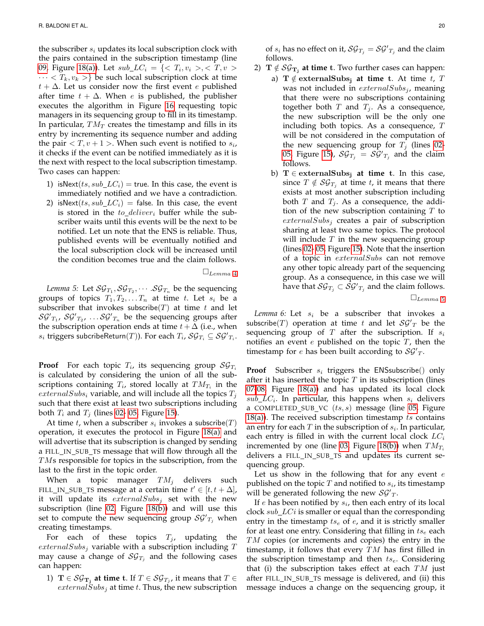the subscriber  $s_i$  updates its local subscription clock with the pairs contained in the subscription timestamp (line [09,](#page-15-1) Figure [18\(a\)\)](#page-15-10). Let  $sub\_LC_i = \{<~T_i, v_i > ,$  $\cdots < T_k, v_k >$ } be such local subscription clock at time  $t + \Delta$ . Let us consider now the first event e published after time  $t + \Delta$ . When *e* is published, the publisher executes the algorithm in Figure [16](#page-15-0) requesting topic managers in its sequencing group to fill in its timestamp. In particular,  $TM_T$  creates the timestamp and fills in its entry by incrementing its sequence number and adding the pair  $\langle T, v+1 \rangle$ . When such event is notified to  $s_i$ , it checks if the event can be notified immediately as it is the next with respect to the local subscription timestamp. Two cases can happen:

- 1) isNext( $ts, sub\_LC_i$ ) = true. In this case, the event is immediately notified and we have a contradiction.
- 2) isNext( $ts, sub\_LC_i$ ) = false. In this case, the event is stored in the  $to\_deliver_i$  buffer while the subscriber waits until this events will be the next to be notified. Let un note that the ENS is reliable. Thus, published events will be eventually notified and the local subscription clock will be increased until the condition becomes true and the claim follows.

 $\square_{Lemma\ 4}$  $\square_{Lemma\ 4}$  $\square_{Lemma\ 4}$ 

<span id="page-19-0"></span>*Lemma 5:* Let  $\mathcal{SG}_{T_1}, \mathcal{SG}_{T_2}, \cdots$  .  $\mathcal{SG}_{T_n}$  be the sequencing groups of topics  $T_1, T_2, \ldots, T_n$  at time t. Let  $s_i$  be a subscriber that invokes subscribe( $T$ ) at time  $t$  and let  $\mathcal{SG'}_{T_1}$ ,  $\mathcal{SG'}_{T_2}$ ,  $\ldots \mathcal{SG'}_{T_n}$  be the sequencing groups after the subscription operation ends at time  $t + \Delta$  (i.e., when  $s_i$  triggers subcribeReturn $(T)$ ). For each  $T_i$ ,  $\mathcal{SG}_{T_i} \subseteq \mathcal{SG'}_{T_i}$ .

**Proof** For each topic  $T_i$ , its sequencing group  $\mathcal{SG}_{T_i}$ is calculated by considering the union of all the subscriptions containing  $T_i$ , stored locally at  $TM_{T_i}$  in the  $externalSubs_i$  variable, and will include all the topics  $T_j$ such that there exist at least two subscriptions including both  $T_i$  and  $T_j$  (lines [02-](#page-14-2) [05,](#page-14-6) Figure [15\)](#page-14-0).

At time t, when a subscriber  $s_i$  invokes a subscribe $(T)$ operation, it executes the protocol in Figure [18\(a\)](#page-15-10) and will advertise that its subscription is changed by sending a FILL\_IN\_SUB\_TS message that will flow through all the TMs responsible for topics in the subscription, from the last to the first in the topic order.

When a topic manager  $TM_j$  delivers such FILL\_IN\_SUB\_TS message at a certain time  $t' \in [t, t + \Delta]$ , it will update its  $externalSubs_j$  set with the new subscription (line [02,](#page-14-2) Figure [18\(b\)\)](#page-15-14) and will use this set to compute the new sequencing group  $\mathcal{SG'}_{T_j}$  when creating timestamps.

For each of these topics  $T_j$ , updating the  $externalSubs_j$  variable with a subscription including  $T$ may cause a change of  $\mathcal{SG}_{T_j}$  and the following cases can happen:

1)  $\mathbf{T} \in \mathcal{SG}_{\mathbf{T}_{\mathbf{j}}}$  at time t. If  $T \in \mathcal{SG}_{T_{\mathbf{j}}},$  it means that  $T \in$  $externalSubs<sub>i</sub>$  at time t. Thus, the new subscription

of  $s_i$  has no effect on it,  $\mathcal{SG}_{T_j} = \mathcal{SG'}_{T_j}$  and the claim follows.

- 2)  $\mathrm{T} \notin \mathcal{SG}_{\mathrm{T_j}}$  **at time** t. Two further cases can happen:
	- a)  $\mathbf{T} \notin$  externalSubs<sub>i</sub> at time t. At time t, T was not included in  $externalSubs<sub>j</sub>$ , meaning that there were no subscriptions containing together both  $T$  and  $T_j$ . As a consequence, the new subscription will be the only one including both topics. As a consequence,  $T$ will be not considered in the computation of the new sequencing group for  $T_j$  (lines [02-](#page-14-2) [05,](#page-14-6) Figure [15\)](#page-14-0),  $\mathcal{SG}_{T_j} = \mathcal{SG'}_{T_j}$  and the claim follows.
		- b) T ∈ externalSubs<sup>j</sup> **at time** t. In this case, since  $T \notin \mathcal{SG}_{T_i}$  at time t, it means that there exists at most another subscription including both  $T$  and  $T_i$ . As a consequence, the addition of the new subscription containing  $T$  to  $externalSubs_j$  creates a pair of subscription sharing at least two same topics. The protocol will include  $T$  in the new sequencing group (lines [02-](#page-14-2) [05,](#page-14-6) Figure [15\)](#page-14-0). Note that the insertion of a topic in externalSubs can not remove any other topic already part of the sequencing group. As a consequence, in this case we will have that  $\mathcal{SG}_{T_j} \subset \mathcal{\widetilde{SG^{\prime}}}_{T_j}$  and the claim follows.

 $\square_{Lemma\ 5}$  $\square_{Lemma\ 5}$  $\square_{Lemma\ 5}$ 

<span id="page-19-1"></span>*Lemma 6:* Let  $s_i$  be a subscriber that invokes a subscribe(T) operation at time t and let  $\mathcal{SG'}_T$  be the sequencing group of  $T$  after the subscription. If  $s_i$ notifies an event  $e$  published on the topic  $T$ , then the timestamp for  $e$  has been built according to  $\mathcal{SG'}_T$ .

**Proof** Subscriber  $s_i$  triggers the ENS subscribe () only after it has inserted the topic  $T$  in its subscription (lines [07](#page-15-3)[-08,](#page-15-15) Figure [18\(a\)\)](#page-15-10) and has updated its local clock  $sub\_LC_i$ . In particular, this happens when  $s_i$  delivers a COMPLETED\_SUB\_VC  $(ts, s)$  message (line [05,](#page-14-6) Figure [18\(a\)\)](#page-15-10). The received subscription timestamp  $ts$  contains an entry for each  $T$  in the subscription of  $s_i$ . In particular, each entry is filled in with the current local clock  $LC_i$ incremented by one (line [03,](#page-14-3) Figure [18\(b\)\)](#page-15-14) when  $TM_{T_i}$ delivers a FILL\_IN\_SUB\_TS and updates its current sequencing group.

Let us show in the following that for any event  $e$ published on the topic  $T$  and notified to  $s_i$ , its timestamp will be generated following the new  $\mathcal{SG'}_T$ .

If  $e$  has been notified by  $s_i$ , then each entry of its local clock  $sub\_LCi$  is smaller or equal than the corresponding entry in the timestamp  $ts_e$  of  $e$ , and it is strictly smaller for at least one entry. Considering that filling in  $ts_e$  each  $TM$  copies (or increments and copies) the entry in the timestamp, it follows that every  $TM$  has first filled in the subscription timestamp and then  $ts_e$ . Considering that (i) the subscription takes effect at each  $TM$  just after FILL\_IN\_SUB\_TS message is delivered, and (ii) this message induces a change on the sequencing group, it